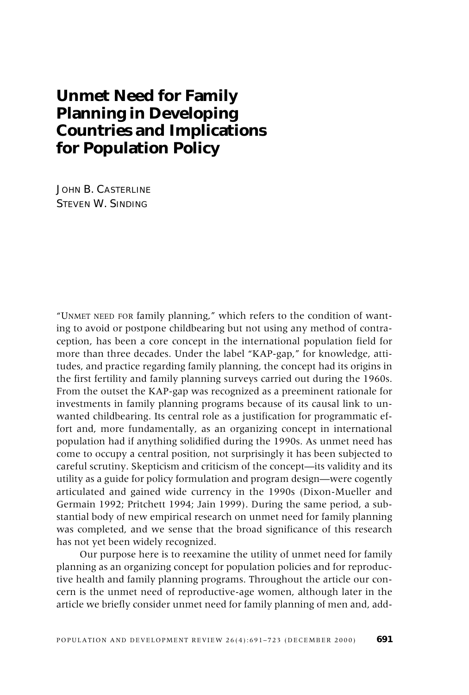# **Unmet Need for Family Planning in Developing Countries and Implications for Population Policy**

JOHN B. CASTERLINE STEVEN W. SINDING

"UNMET NEED FOR family planning," which refers to the condition of wanting to avoid or postpone childbearing but not using any method of contraception, has been a core concept in the international population field for more than three decades. Under the label "KAP-gap," for knowledge, attitudes, and practice regarding family planning, the concept had its origins in the first fertility and family planning surveys carried out during the 1960s. From the outset the KAP-gap was recognized as a preeminent rationale for investments in family planning programs because of its causal link to unwanted childbearing. Its central role as a justification for programmatic effort and, more fundamentally, as an organizing concept in international population had if anything solidified during the 1990s. As unmet need has come to occupy a central position, not surprisingly it has been subjected to careful scrutiny. Skepticism and criticism of the concept—its validity and its utility as a guide for policy formulation and program design—were cogently articulated and gained wide currency in the 1990s (Dixon-Mueller and Germain 1992; Pritchett 1994; Jain 1999). During the same period, a substantial body of new empirical research on unmet need for family planning was completed, and we sense that the broad significance of this research has not yet been widely recognized.

Our purpose here is to reexamine the utility of unmet need for family planning as an organizing concept for population policies and for reproductive health and family planning programs. Throughout the article our concern is the unmet need of reproductive-age women, although later in the article we briefly consider unmet need for family planning of men and, add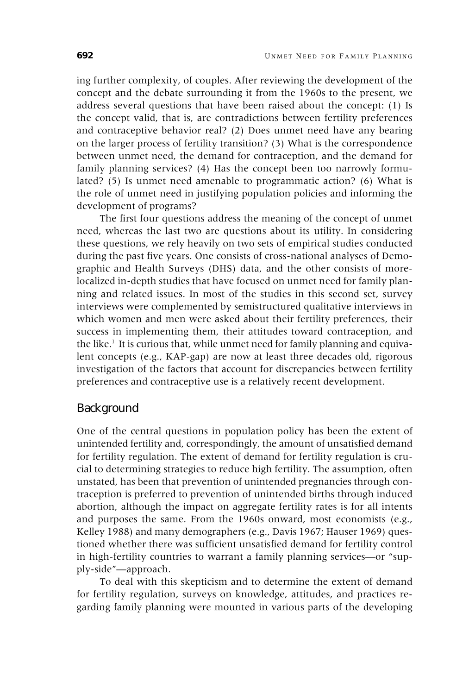ing further complexity, of couples. After reviewing the development of the concept and the debate surrounding it from the 1960s to the present, we address several questions that have been raised about the concept: (1) Is the concept valid, that is, are contradictions between fertility preferences and contraceptive behavior real? (2) Does unmet need have any bearing on the larger process of fertility transition? (3) What is the correspondence between unmet need, the demand for contraception, and the demand for family planning services? (4) Has the concept been too narrowly formulated? (5) Is unmet need amenable to programmatic action? (6) What is the role of unmet need in justifying population policies and informing the development of programs?

The first four questions address the meaning of the concept of unmet need, whereas the last two are questions about its utility. In considering these questions, we rely heavily on two sets of empirical studies conducted during the past five years. One consists of cross-national analyses of Demographic and Health Surveys (DHS) data, and the other consists of morelocalized in-depth studies that have focused on unmet need for family planning and related issues. In most of the studies in this second set, survey interviews were complemented by semistructured qualitative interviews in which women and men were asked about their fertility preferences, their success in implementing them, their attitudes toward contraception, and the like.<sup>1</sup> It is curious that, while unmet need for family planning and equivalent concepts (e.g., KAP-gap) are now at least three decades old, rigorous investigation of the factors that account for discrepancies between fertility preferences and contraceptive use is a relatively recent development.

#### **Background**

One of the central questions in population policy has been the extent of unintended fertility and, correspondingly, the amount of unsatisfied demand for fertility regulation. The extent of demand for fertility regulation is crucial to determining strategies to reduce high fertility. The assumption, often unstated, has been that prevention of unintended pregnancies through contraception is preferred to prevention of unintended births through induced abortion, although the impact on aggregate fertility rates is for all intents and purposes the same. From the 1960s onward, most economists (e.g., Kelley 1988) and many demographers (e.g., Davis 1967; Hauser 1969) questioned whether there was sufficient unsatisfied demand for fertility control in high-fertility countries to warrant a family planning services—or "supply-side"—approach.

To deal with this skepticism and to determine the extent of demand for fertility regulation, surveys on knowledge, attitudes, and practices regarding family planning were mounted in various parts of the developing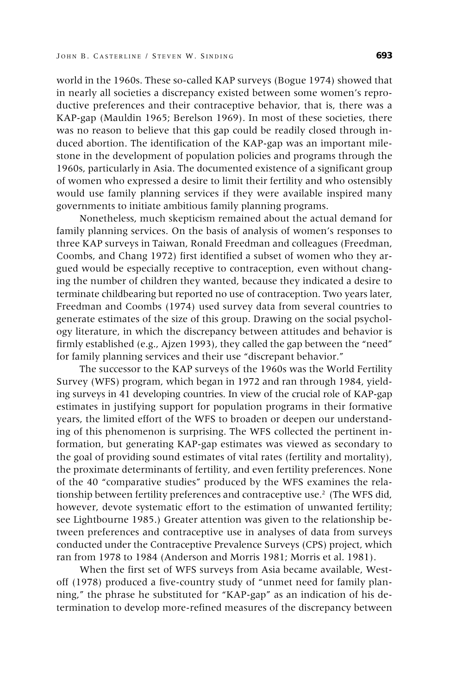world in the 1960s. These so-called KAP surveys (Bogue 1974) showed that in nearly all societies a discrepancy existed between some women's reproductive preferences and their contraceptive behavior, that is, there was a KAP-gap (Mauldin 1965; Berelson 1969). In most of these societies, there was no reason to believe that this gap could be readily closed through induced abortion. The identification of the KAP-gap was an important milestone in the development of population policies and programs through the 1960s, particularly in Asia. The documented existence of a significant group of women who expressed a desire to limit their fertility and who ostensibly would use family planning services if they were available inspired many governments to initiate ambitious family planning programs.

Nonetheless, much skepticism remained about the actual demand for family planning services. On the basis of analysis of women's responses to three KAP surveys in Taiwan, Ronald Freedman and colleagues (Freedman, Coombs, and Chang 1972) first identified a subset of women who they argued would be especially receptive to contraception, even without changing the number of children they wanted, because they indicated a desire to terminate childbearing but reported no use of contraception. Two years later, Freedman and Coombs (1974) used survey data from several countries to generate estimates of the size of this group. Drawing on the social psychology literature, in which the discrepancy between attitudes and behavior is firmly established (e.g., Ajzen 1993), they called the gap between the "need" for family planning services and their use "discrepant behavior."

The successor to the KAP surveys of the 1960s was the World Fertility Survey (WFS) program, which began in 1972 and ran through 1984, yielding surveys in 41 developing countries. In view of the crucial role of KAP-gap estimates in justifying support for population programs in their formative years, the limited effort of the WFS to broaden or deepen our understanding of this phenomenon is surprising. The WFS collected the pertinent information, but generating KAP-gap estimates was viewed as secondary to the goal of providing sound estimates of vital rates (fertility and mortality), the proximate determinants of fertility, and even fertility preferences. None of the 40 "comparative studies" produced by the WFS examines the relationship between fertility preferences and contraceptive use.<sup>2</sup> (The WFS did, however, devote systematic effort to the estimation of unwanted fertility; see Lightbourne 1985.) Greater attention was given to the relationship between preferences and contraceptive use in analyses of data from surveys conducted under the Contraceptive Prevalence Surveys (CPS) project, which ran from 1978 to 1984 (Anderson and Morris 1981; Morris et al. 1981).

When the first set of WFS surveys from Asia became available, Westoff (1978) produced a five-country study of "unmet need for family planning," the phrase he substituted for "KAP-gap" as an indication of his determination to develop more-refined measures of the discrepancy between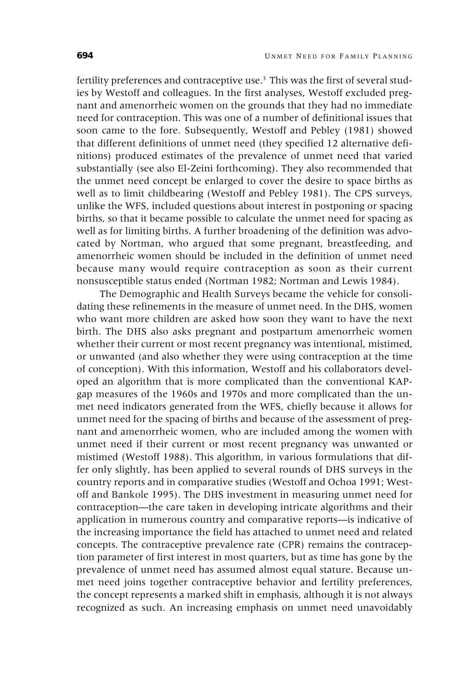fertility preferences and contraceptive use.<sup>3</sup> This was the first of several studies by Westoff and colleagues. In the first analyses, Westoff excluded pregnant and amenorrheic women on the grounds that they had no immediate need for contraception. This was one of a number of definitional issues that soon came to the fore. Subsequently, Westoff and Pebley (1981) showed that different definitions of unmet need (they specified 12 alternative definitions) produced estimates of the prevalence of unmet need that varied substantially (see also El-Zeini forthcoming). They also recommended that the unmet need concept be enlarged to cover the desire to space births as well as to limit childbearing (Westoff and Pebley 1981). The CPS surveys, unlike the WFS, included questions about interest in postponing or spacing births, so that it became possible to calculate the unmet need for spacing as well as for limiting births. A further broadening of the definition was advocated by Nortman, who argued that some pregnant, breastfeeding, and amenorrheic women should be included in the definition of unmet need because many would require contraception as soon as their current nonsusceptible status ended (Nortman 1982; Nortman and Lewis 1984).

The Demographic and Health Surveys became the vehicle for consolidating these refinements in the measure of unmet need. In the DHS, women who want more children are asked how soon they want to have the next birth. The DHS also asks pregnant and postpartum amenorrheic women whether their current or most recent pregnancy was intentional, mistimed, or unwanted (and also whether they were using contraception at the time of conception). With this information, Westoff and his collaborators developed an algorithm that is more complicated than the conventional KAPgap measures of the 1960s and 1970s and more complicated than the unmet need indicators generated from the WFS, chiefly because it allows for unmet need for the spacing of births and because of the assessment of pregnant and amenorrheic women, who are included among the women with unmet need if their current or most recent pregnancy was unwanted or mistimed (Westoff 1988). This algorithm, in various formulations that differ only slightly, has been applied to several rounds of DHS surveys in the country reports and in comparative studies (Westoff and Ochoa 1991; Westoff and Bankole 1995). The DHS investment in measuring unmet need for contraception—the care taken in developing intricate algorithms and their application in numerous country and comparative reports—is indicative of the increasing importance the field has attached to unmet need and related concepts. The contraceptive prevalence rate (CPR) remains the contraception parameter of first interest in most quarters, but as time has gone by the prevalence of unmet need has assumed almost equal stature. Because unmet need joins together contraceptive behavior and fertility preferences, the concept represents a marked shift in emphasis, although it is not always recognized as such. An increasing emphasis on unmet need unavoidably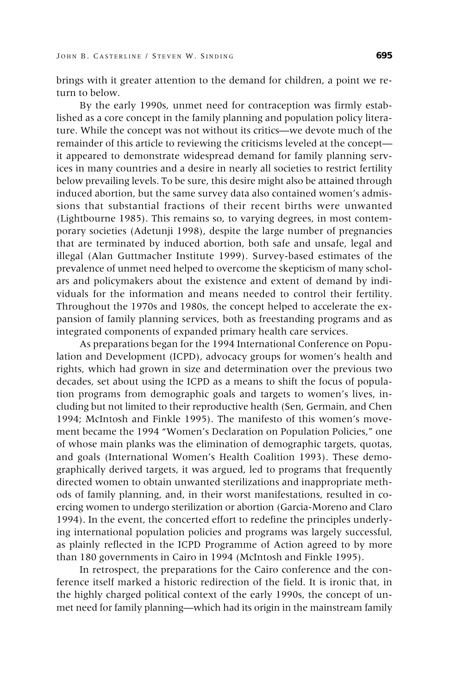brings with it greater attention to the demand for children, a point we return to below.

By the early 1990s, unmet need for contraception was firmly established as a core concept in the family planning and population policy literature. While the concept was not without its critics—we devote much of the remainder of this article to reviewing the criticisms leveled at the concept it appeared to demonstrate widespread demand for family planning services in many countries and a desire in nearly all societies to restrict fertility below prevailing levels. To be sure, this desire might also be attained through induced abortion, but the same survey data also contained women's admissions that substantial fractions of their recent births were unwanted (Lightbourne 1985). This remains so, to varying degrees, in most contemporary societies (Adetunji 1998), despite the large number of pregnancies that are terminated by induced abortion, both safe and unsafe, legal and illegal (Alan Guttmacher Institute 1999). Survey-based estimates of the prevalence of unmet need helped to overcome the skepticism of many scholars and policymakers about the existence and extent of demand by individuals for the information and means needed to control their fertility. Throughout the 1970s and 1980s, the concept helped to accelerate the expansion of family planning services, both as freestanding programs and as integrated components of expanded primary health care services.

As preparations began for the 1994 International Conference on Population and Development (ICPD), advocacy groups for women's health and rights, which had grown in size and determination over the previous two decades, set about using the ICPD as a means to shift the focus of population programs from demographic goals and targets to women's lives, including but not limited to their reproductive health (Sen, Germain, and Chen 1994; McIntosh and Finkle 1995). The manifesto of this women's movement became the 1994 "Women's Declaration on Population Policies," one of whose main planks was the elimination of demographic targets, quotas, and goals (International Women's Health Coalition 1993). These demographically derived targets, it was argued, led to programs that frequently directed women to obtain unwanted sterilizations and inappropriate methods of family planning, and, in their worst manifestations, resulted in coercing women to undergo sterilization or abortion (Garcia-Moreno and Claro 1994). In the event, the concerted effort to redefine the principles underlying international population policies and programs was largely successful, as plainly reflected in the ICPD Programme of Action agreed to by more than 180 governments in Cairo in 1994 (McIntosh and Finkle 1995).

In retrospect, the preparations for the Cairo conference and the conference itself marked a historic redirection of the field. It is ironic that, in the highly charged political context of the early 1990s, the concept of unmet need for family planning—which had its origin in the mainstream family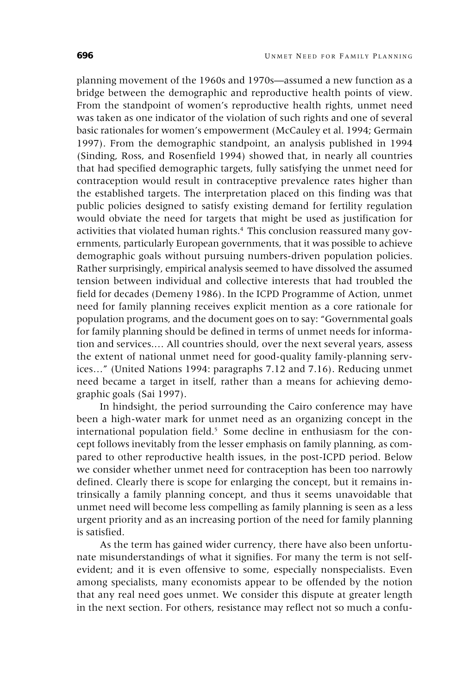planning movement of the 1960s and 1970s—assumed a new function as a bridge between the demographic and reproductive health points of view. From the standpoint of women's reproductive health rights, unmet need was taken as one indicator of the violation of such rights and one of several basic rationales for women's empowerment (McCauley et al. 1994; Germain 1997). From the demographic standpoint, an analysis published in 1994 (Sinding, Ross, and Rosenfield 1994) showed that, in nearly all countries that had specified demographic targets, fully satisfying the unmet need for contraception would result in contraceptive prevalence rates higher than the established targets. The interpretation placed on this finding was that public policies designed to satisfy existing demand for fertility regulation would obviate the need for targets that might be used as justification for activities that violated human rights.<sup>4</sup> This conclusion reassured many governments, particularly European governments, that it was possible to achieve demographic goals without pursuing numbers-driven population policies. Rather surprisingly, empirical analysis seemed to have dissolved the assumed tension between individual and collective interests that had troubled the field for decades (Demeny 1986). In the ICPD Programme of Action, unmet need for family planning receives explicit mention as a core rationale for population programs, and the document goes on to say: "Governmental goals for family planning should be defined in terms of unmet needs for information and services.… All countries should, over the next several years, assess the extent of national unmet need for good-quality family-planning services…" (United Nations 1994: paragraphs 7.12 and 7.16). Reducing unmet need became a target in itself, rather than a means for achieving demographic goals (Sai 1997).

In hindsight, the period surrounding the Cairo conference may have been a high-water mark for unmet need as an organizing concept in the international population field.<sup>5</sup> Some decline in enthusiasm for the concept follows inevitably from the lesser emphasis on family planning, as compared to other reproductive health issues, in the post-ICPD period. Below we consider whether unmet need for contraception has been too narrowly defined. Clearly there is scope for enlarging the concept, but it remains intrinsically a family planning concept, and thus it seems unavoidable that unmet need will become less compelling as family planning is seen as a less urgent priority and as an increasing portion of the need for family planning is satisfied.

As the term has gained wider currency, there have also been unfortunate misunderstandings of what it signifies. For many the term is not selfevident; and it is even offensive to some, especially nonspecialists. Even among specialists, many economists appear to be offended by the notion that any real need goes unmet. We consider this dispute at greater length in the next section. For others, resistance may reflect not so much a confu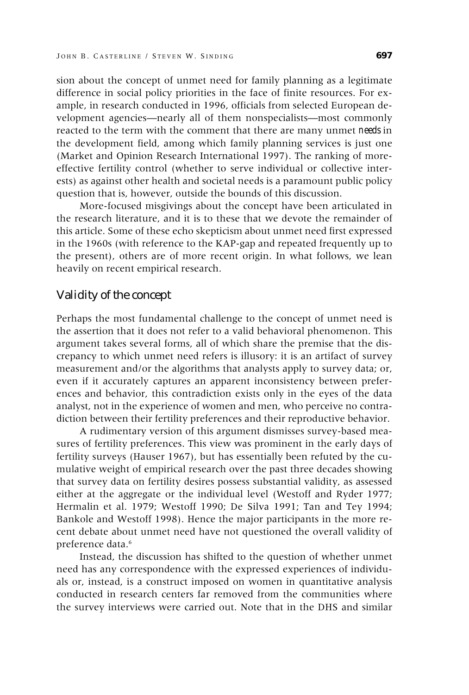sion about the concept of unmet need for family planning as a legitimate difference in social policy priorities in the face of finite resources. For example, in research conducted in 1996, officials from selected European development agencies—nearly all of them nonspecialists—most commonly reacted to the term with the comment that there are many unmet *needs* in the development field, among which family planning services is just one (Market and Opinion Research International 1997). The ranking of moreeffective fertility control (whether to serve individual or collective interests) as against other health and societal needs is a paramount public policy question that is, however, outside the bounds of this discussion.

More-focused misgivings about the concept have been articulated in the research literature, and it is to these that we devote the remainder of this article. Some of these echo skepticism about unmet need first expressed in the 1960s (with reference to the KAP-gap and repeated frequently up to the present), others are of more recent origin. In what follows, we lean heavily on recent empirical research.

# Validity of the concept

Perhaps the most fundamental challenge to the concept of unmet need is the assertion that it does not refer to a valid behavioral phenomenon. This argument takes several forms, all of which share the premise that the discrepancy to which unmet need refers is illusory: it is an artifact of survey measurement and/or the algorithms that analysts apply to survey data; or, even if it accurately captures an apparent inconsistency between preferences and behavior, this contradiction exists only in the eyes of the data analyst, not in the experience of women and men, who perceive no contradiction between their fertility preferences and their reproductive behavior.

A rudimentary version of this argument dismisses survey-based measures of fertility preferences. This view was prominent in the early days of fertility surveys (Hauser 1967), but has essentially been refuted by the cumulative weight of empirical research over the past three decades showing that survey data on fertility desires possess substantial validity, as assessed either at the aggregate or the individual level (Westoff and Ryder 1977; Hermalin et al. 1979; Westoff 1990; De Silva 1991; Tan and Tey 1994; Bankole and Westoff 1998). Hence the major participants in the more recent debate about unmet need have not questioned the overall validity of preference data.<sup>6</sup>

Instead, the discussion has shifted to the question of whether unmet need has any correspondence with the expressed experiences of individuals or, instead, is a construct imposed on women in quantitative analysis conducted in research centers far removed from the communities where the survey interviews were carried out. Note that in the DHS and similar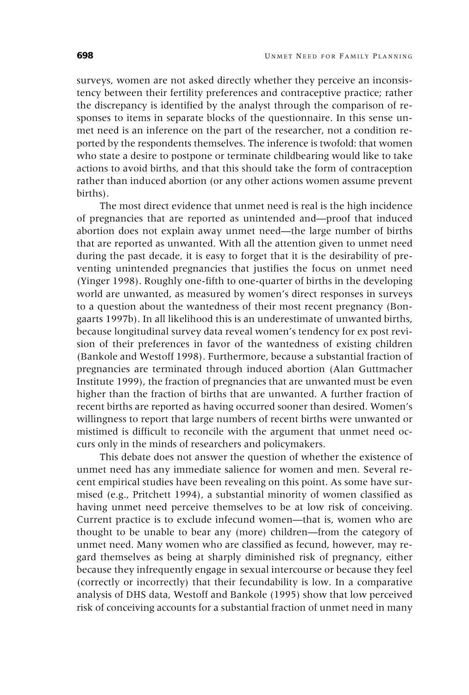surveys, women are not asked directly whether they perceive an inconsistency between their fertility preferences and contraceptive practice; rather the discrepancy is identified by the analyst through the comparison of responses to items in separate blocks of the questionnaire. In this sense unmet need is an inference on the part of the researcher, not a condition reported by the respondents themselves. The inference is twofold: that women who state a desire to postpone or terminate childbearing would like to take actions to avoid births, and that this should take the form of contraception rather than induced abortion (or any other actions women assume prevent births).

The most direct evidence that unmet need is real is the high incidence of pregnancies that are reported as unintended and—proof that induced abortion does not explain away unmet need—the large number of births that are reported as unwanted. With all the attention given to unmet need during the past decade, it is easy to forget that it is the desirability of preventing unintended pregnancies that justifies the focus on unmet need (Yinger 1998). Roughly one-fifth to one-quarter of births in the developing world are unwanted, as measured by women's direct responses in surveys to a question about the wantedness of their most recent pregnancy (Bongaarts 1997b). In all likelihood this is an underestimate of unwanted births, because longitudinal survey data reveal women's tendency for ex post revision of their preferences in favor of the wantedness of existing children (Bankole and Westoff 1998). Furthermore, because a substantial fraction of pregnancies are terminated through induced abortion (Alan Guttmacher Institute 1999), the fraction of pregnancies that are unwanted must be even higher than the fraction of births that are unwanted. A further fraction of recent births are reported as having occurred sooner than desired. Women's willingness to report that large numbers of recent births were unwanted or mistimed is difficult to reconcile with the argument that unmet need occurs only in the minds of researchers and policymakers.

This debate does not answer the question of whether the existence of unmet need has any immediate salience for women and men. Several recent empirical studies have been revealing on this point. As some have surmised (e.g., Pritchett 1994), a substantial minority of women classified as having unmet need perceive themselves to be at low risk of conceiving. Current practice is to exclude infecund women—that is, women who are thought to be unable to bear any (more) children—from the category of unmet need. Many women who are classified as fecund, however, may regard themselves as being at sharply diminished risk of pregnancy, either because they infrequently engage in sexual intercourse or because they feel (correctly or incorrectly) that their fecundability is low. In a comparative analysis of DHS data, Westoff and Bankole (1995) show that low perceived risk of conceiving accounts for a substantial fraction of unmet need in many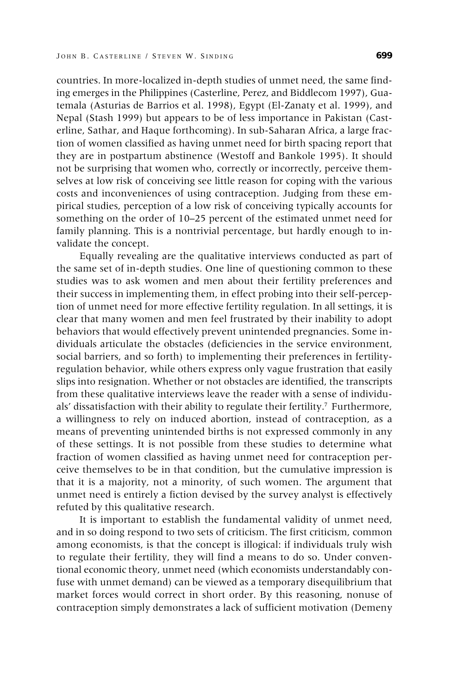countries. In more-localized in-depth studies of unmet need, the same finding emerges in the Philippines (Casterline, Perez, and Biddlecom 1997), Guatemala (Asturias de Barrios et al. 1998), Egypt (El-Zanaty et al. 1999), and Nepal (Stash 1999) but appears to be of less importance in Pakistan (Casterline, Sathar, and Haque forthcoming). In sub-Saharan Africa, a large fraction of women classified as having unmet need for birth spacing report that they are in postpartum abstinence (Westoff and Bankole 1995). It should not be surprising that women who, correctly or incorrectly, perceive themselves at low risk of conceiving see little reason for coping with the various costs and inconveniences of using contraception. Judging from these empirical studies, perception of a low risk of conceiving typically accounts for something on the order of 10–25 percent of the estimated unmet need for family planning. This is a nontrivial percentage, but hardly enough to invalidate the concept.

Equally revealing are the qualitative interviews conducted as part of the same set of in-depth studies. One line of questioning common to these studies was to ask women and men about their fertility preferences and their success in implementing them, in effect probing into their self-perception of unmet need for more effective fertility regulation. In all settings, it is clear that many women and men feel frustrated by their inability to adopt behaviors that would effectively prevent unintended pregnancies. Some individuals articulate the obstacles (deficiencies in the service environment, social barriers, and so forth) to implementing their preferences in fertilityregulation behavior, while others express only vague frustration that easily slips into resignation. Whether or not obstacles are identified, the transcripts from these qualitative interviews leave the reader with a sense of individuals' dissatisfaction with their ability to regulate their fertility.<sup>7</sup> Furthermore, a willingness to rely on induced abortion, instead of contraception, as a means of preventing unintended births is not expressed commonly in any of these settings. It is not possible from these studies to determine what fraction of women classified as having unmet need for contraception perceive themselves to be in that condition, but the cumulative impression is that it is a majority, not a minority, of such women. The argument that unmet need is entirely a fiction devised by the survey analyst is effectively refuted by this qualitative research.

It is important to establish the fundamental validity of unmet need, and in so doing respond to two sets of criticism. The first criticism, common among economists, is that the concept is illogical: if individuals truly wish to regulate their fertility, they will find a means to do so. Under conventional economic theory, unmet need (which economists understandably confuse with unmet demand) can be viewed as a temporary disequilibrium that market forces would correct in short order. By this reasoning, nonuse of contraception simply demonstrates a lack of sufficient motivation (Demeny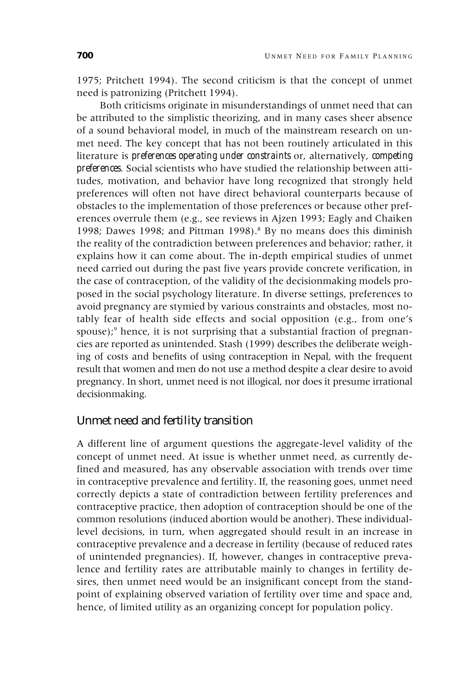1975; Pritchett 1994). The second criticism is that the concept of unmet need is patronizing (Pritchett 1994).

Both criticisms originate in misunderstandings of unmet need that can be attributed to the simplistic theorizing, and in many cases sheer absence of a sound behavioral model, in much of the mainstream research on unmet need. The key concept that has not been routinely articulated in this literature is *preferences operating under constraints* or, alternatively, *competing preferences*. Social scientists who have studied the relationship between attitudes, motivation, and behavior have long recognized that strongly held preferences will often not have direct behavioral counterparts because of obstacles to the implementation of those preferences or because other preferences overrule them (e.g., see reviews in Ajzen 1993; Eagly and Chaiken 1998; Dawes 1998; and Pittman 1998).<sup>8</sup> By no means does this diminish the reality of the contradiction between preferences and behavior; rather, it explains how it can come about. The in-depth empirical studies of unmet need carried out during the past five years provide concrete verification, in the case of contraception, of the validity of the decisionmaking models proposed in the social psychology literature. In diverse settings, preferences to avoid pregnancy are stymied by various constraints and obstacles, most notably fear of health side effects and social opposition (e.g., from one's spouse);<sup>9</sup> hence, it is not surprising that a substantial fraction of pregnancies are reported as unintended. Stash (1999) describes the deliberate weighing of costs and benefits of using contraception in Nepal, with the frequent result that women and men do not use a method despite a clear desire to avoid pregnancy. In short, unmet need is not illogical, nor does it presume irrational decisionmaking.

### Unmet need and fertility transition

A different line of argument questions the aggregate-level validity of the concept of unmet need. At issue is whether unmet need, as currently defined and measured, has any observable association with trends over time in contraceptive prevalence and fertility. If, the reasoning goes, unmet need correctly depicts a state of contradiction between fertility preferences and contraceptive practice, then adoption of contraception should be one of the common resolutions (induced abortion would be another). These individuallevel decisions, in turn, when aggregated should result in an increase in contraceptive prevalence and a decrease in fertility (because of reduced rates of unintended pregnancies). If, however, changes in contraceptive prevalence and fertility rates are attributable mainly to changes in fertility desires, then unmet need would be an insignificant concept from the standpoint of explaining observed variation of fertility over time and space and, hence, of limited utility as an organizing concept for population policy.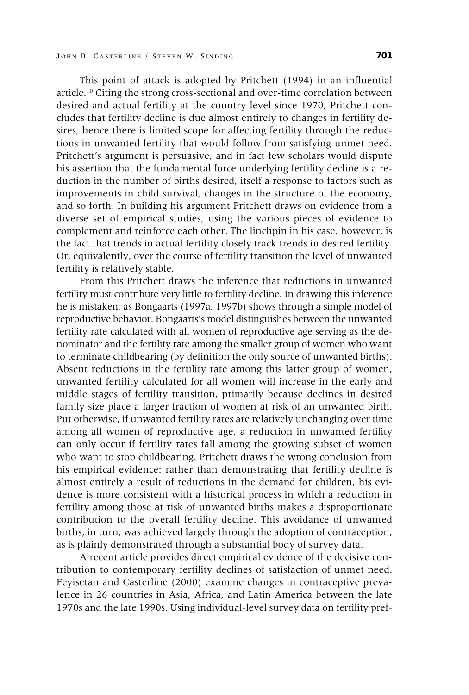This point of attack is adopted by Pritchett (1994) in an influential article.<sup>10</sup> Citing the strong cross-sectional and over-time correlation between desired and actual fertility at the country level since 1970, Pritchett concludes that fertility decline is due almost entirely to changes in fertility desires, hence there is limited scope for affecting fertility through the reductions in unwanted fertility that would follow from satisfying unmet need. Pritchett's argument is persuasive, and in fact few scholars would dispute his assertion that the fundamental force underlying fertility decline is a reduction in the number of births desired, itself a response to factors such as improvements in child survival, changes in the structure of the economy, and so forth. In building his argument Pritchett draws on evidence from a diverse set of empirical studies, using the various pieces of evidence to complement and reinforce each other. The linchpin in his case, however, is the fact that trends in actual fertility closely track trends in desired fertility. Or, equivalently, over the course of fertility transition the level of unwanted fertility is relatively stable.

From this Pritchett draws the inference that reductions in unwanted fertility must contribute very little to fertility decline. In drawing this inference he is mistaken, as Bongaarts (1997a, 1997b) shows through a simple model of reproductive behavior. Bongaarts's model distinguishes between the unwanted fertility rate calculated with all women of reproductive age serving as the denominator and the fertility rate among the smaller group of women who want to terminate childbearing (by definition the only source of unwanted births). Absent reductions in the fertility rate among this latter group of women, unwanted fertility calculated for all women will increase in the early and middle stages of fertility transition, primarily because declines in desired family size place a larger fraction of women at risk of an unwanted birth. Put otherwise, if unwanted fertility rates are relatively unchanging over time among all women of reproductive age, a reduction in unwanted fertility can only occur if fertility rates fall among the growing subset of women who want to stop childbearing. Pritchett draws the wrong conclusion from his empirical evidence: rather than demonstrating that fertility decline is almost entirely a result of reductions in the demand for children, his evidence is more consistent with a historical process in which a reduction in fertility among those at risk of unwanted births makes a disproportionate contribution to the overall fertility decline. This avoidance of unwanted births, in turn, was achieved largely through the adoption of contraception, as is plainly demonstrated through a substantial body of survey data.

A recent article provides direct empirical evidence of the decisive contribution to contemporary fertility declines of satisfaction of unmet need. Feyisetan and Casterline (2000) examine changes in contraceptive prevalence in 26 countries in Asia, Africa, and Latin America between the late 1970s and the late 1990s. Using individual-level survey data on fertility pref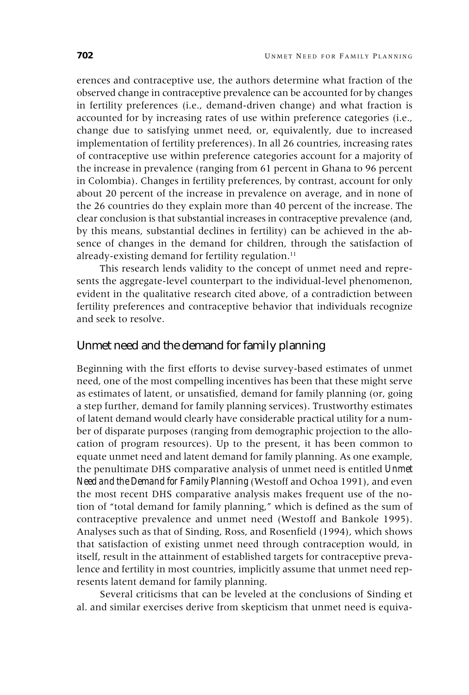erences and contraceptive use, the authors determine what fraction of the observed change in contraceptive prevalence can be accounted for by changes in fertility preferences (i.e., demand-driven change) and what fraction is accounted for by increasing rates of use within preference categories (i.e., change due to satisfying unmet need, or, equivalently, due to increased implementation of fertility preferences). In all 26 countries, increasing rates of contraceptive use within preference categories account for a majority of the increase in prevalence (ranging from 61 percent in Ghana to 96 percent in Colombia). Changes in fertility preferences, by contrast, account for only about 20 percent of the increase in prevalence on average, and in none of the 26 countries do they explain more than 40 percent of the increase. The clear conclusion is that substantial increases in contraceptive prevalence (and, by this means, substantial declines in fertility) can be achieved in the absence of changes in the demand for children, through the satisfaction of already-existing demand for fertility regulation.<sup>11</sup>

This research lends validity to the concept of unmet need and represents the aggregate-level counterpart to the individual-level phenomenon, evident in the qualitative research cited above, of a contradiction between fertility preferences and contraceptive behavior that individuals recognize and seek to resolve.

## Unmet need and the demand for family planning

Beginning with the first efforts to devise survey-based estimates of unmet need, one of the most compelling incentives has been that these might serve as estimates of latent, or unsatisfied, demand for family planning (or, going a step further, demand for family planning services). Trustworthy estimates of latent demand would clearly have considerable practical utility for a number of disparate purposes (ranging from demographic projection to the allocation of program resources). Up to the present, it has been common to equate unmet need and latent demand for family planning. As one example, the penultimate DHS comparative analysis of unmet need is entitled *Unmet Need and the Demand for Family Planning* (Westoff and Ochoa 1991), and even the most recent DHS comparative analysis makes frequent use of the notion of "total demand for family planning," which is defined as the sum of contraceptive prevalence and unmet need (Westoff and Bankole 1995). Analyses such as that of Sinding, Ross, and Rosenfield (1994), which shows that satisfaction of existing unmet need through contraception would, in itself, result in the attainment of established targets for contraceptive prevalence and fertility in most countries, implicitly assume that unmet need represents latent demand for family planning.

Several criticisms that can be leveled at the conclusions of Sinding et al. and similar exercises derive from skepticism that unmet need is equiva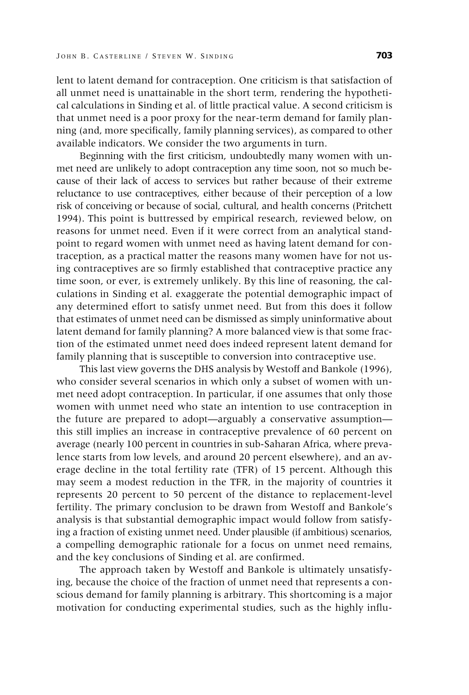lent to latent demand for contraception. One criticism is that satisfaction of all unmet need is unattainable in the short term, rendering the hypothetical calculations in Sinding et al. of little practical value. A second criticism is that unmet need is a poor proxy for the near-term demand for family planning (and, more specifically, family planning services), as compared to other available indicators. We consider the two arguments in turn.

Beginning with the first criticism, undoubtedly many women with unmet need are unlikely to adopt contraception any time soon, not so much because of their lack of access to services but rather because of their extreme reluctance to use contraceptives, either because of their perception of a low risk of conceiving or because of social, cultural, and health concerns (Pritchett 1994). This point is buttressed by empirical research, reviewed below, on reasons for unmet need. Even if it were correct from an analytical standpoint to regard women with unmet need as having latent demand for contraception, as a practical matter the reasons many women have for not using contraceptives are so firmly established that contraceptive practice any time soon, or ever, is extremely unlikely. By this line of reasoning, the calculations in Sinding et al. exaggerate the potential demographic impact of any determined effort to satisfy unmet need. But from this does it follow that estimates of unmet need can be dismissed as simply uninformative about latent demand for family planning? A more balanced view is that some fraction of the estimated unmet need does indeed represent latent demand for family planning that is susceptible to conversion into contraceptive use.

This last view governs the DHS analysis by Westoff and Bankole (1996), who consider several scenarios in which only a subset of women with unmet need adopt contraception. In particular, if one assumes that only those women with unmet need who state an intention to use contraception in the future are prepared to adopt—arguably a conservative assumption this still implies an increase in contraceptive prevalence of 60 percent on average (nearly 100 percent in countries in sub-Saharan Africa, where prevalence starts from low levels, and around 20 percent elsewhere), and an average decline in the total fertility rate (TFR) of 15 percent. Although this may seem a modest reduction in the TFR, in the majority of countries it represents 20 percent to 50 percent of the distance to replacement-level fertility. The primary conclusion to be drawn from Westoff and Bankole's analysis is that substantial demographic impact would follow from satisfying a fraction of existing unmet need. Under plausible (if ambitious) scenarios, a compelling demographic rationale for a focus on unmet need remains, and the key conclusions of Sinding et al. are confirmed.

The approach taken by Westoff and Bankole is ultimately unsatisfying, because the choice of the fraction of unmet need that represents a conscious demand for family planning is arbitrary. This shortcoming is a major motivation for conducting experimental studies, such as the highly influ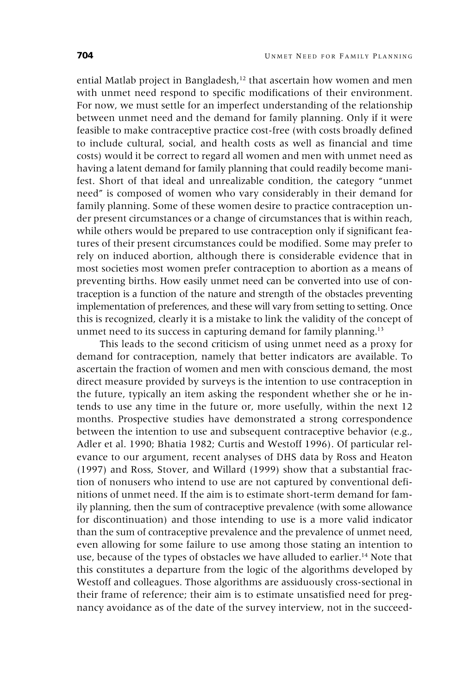ential Matlab project in Bangladesh,<sup>12</sup> that ascertain how women and men with unmet need respond to specific modifications of their environment. For now, we must settle for an imperfect understanding of the relationship between unmet need and the demand for family planning. Only if it were feasible to make contraceptive practice cost-free (with costs broadly defined to include cultural, social, and health costs as well as financial and time costs) would it be correct to regard all women and men with unmet need as having a latent demand for family planning that could readily become manifest. Short of that ideal and unrealizable condition, the category "unmet need" is composed of women who vary considerably in their demand for family planning. Some of these women desire to practice contraception under present circumstances or a change of circumstances that is within reach, while others would be prepared to use contraception only if significant features of their present circumstances could be modified. Some may prefer to rely on induced abortion, although there is considerable evidence that in most societies most women prefer contraception to abortion as a means of preventing births. How easily unmet need can be converted into use of contraception is a function of the nature and strength of the obstacles preventing implementation of preferences, and these will vary from setting to setting. Once this is recognized, clearly it is a mistake to link the validity of the concept of unmet need to its success in capturing demand for family planning.<sup>13</sup>

This leads to the second criticism of using unmet need as a proxy for demand for contraception, namely that better indicators are available. To ascertain the fraction of women and men with conscious demand, the most direct measure provided by surveys is the intention to use contraception in the future, typically an item asking the respondent whether she or he intends to use any time in the future or, more usefully, within the next 12 months. Prospective studies have demonstrated a strong correspondence between the intention to use and subsequent contraceptive behavior (e.g., Adler et al. 1990; Bhatia 1982; Curtis and Westoff 1996). Of particular relevance to our argument, recent analyses of DHS data by Ross and Heaton (1997) and Ross, Stover, and Willard (1999) show that a substantial fraction of nonusers who intend to use are not captured by conventional definitions of unmet need. If the aim is to estimate short-term demand for family planning, then the sum of contraceptive prevalence (with some allowance for discontinuation) and those intending to use is a more valid indicator than the sum of contraceptive prevalence and the prevalence of unmet need, even allowing for some failure to use among those stating an intention to use, because of the types of obstacles we have alluded to earlier.14 Note that this constitutes a departure from the logic of the algorithms developed by Westoff and colleagues. Those algorithms are assiduously cross-sectional in their frame of reference; their aim is to estimate unsatisfied need for pregnancy avoidance as of the date of the survey interview, not in the succeed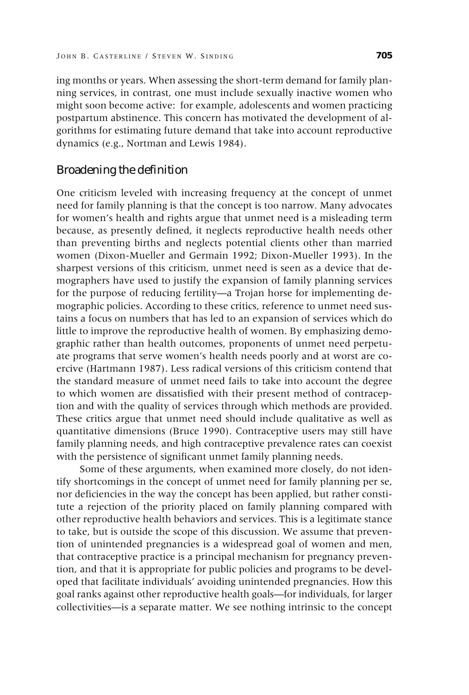ing months or years. When assessing the short-term demand for family planning services, in contrast, one must include sexually inactive women who might soon become active: for example, adolescents and women practicing postpartum abstinence. This concern has motivated the development of algorithms for estimating future demand that take into account reproductive dynamics (e.g., Nortman and Lewis 1984).

#### Broadening the definition

One criticism leveled with increasing frequency at the concept of unmet need for family planning is that the concept is too narrow. Many advocates for women's health and rights argue that unmet need is a misleading term because, as presently defined, it neglects reproductive health needs other than preventing births and neglects potential clients other than married women (Dixon-Mueller and Germain 1992; Dixon-Mueller 1993). In the sharpest versions of this criticism, unmet need is seen as a device that demographers have used to justify the expansion of family planning services for the purpose of reducing fertility—a Trojan horse for implementing demographic policies. According to these critics, reference to unmet need sustains a focus on numbers that has led to an expansion of services which do little to improve the reproductive health of women. By emphasizing demographic rather than health outcomes, proponents of unmet need perpetuate programs that serve women's health needs poorly and at worst are coercive (Hartmann 1987). Less radical versions of this criticism contend that the standard measure of unmet need fails to take into account the degree to which women are dissatisfied with their present method of contraception and with the quality of services through which methods are provided. These critics argue that unmet need should include qualitative as well as quantitative dimensions (Bruce 1990). Contraceptive users may still have family planning needs, and high contraceptive prevalence rates can coexist with the persistence of significant unmet family planning needs.

Some of these arguments, when examined more closely, do not identify shortcomings in the concept of unmet need for family planning per se, nor deficiencies in the way the concept has been applied, but rather constitute a rejection of the priority placed on family planning compared with other reproductive health behaviors and services. This is a legitimate stance to take, but is outside the scope of this discussion. We assume that prevention of unintended pregnancies is a widespread goal of women and men, that contraceptive practice is a principal mechanism for pregnancy prevention, and that it is appropriate for public policies and programs to be developed that facilitate individuals' avoiding unintended pregnancies. How this goal ranks against other reproductive health goals—for individuals, for larger collectivities—is a separate matter. We see nothing intrinsic to the concept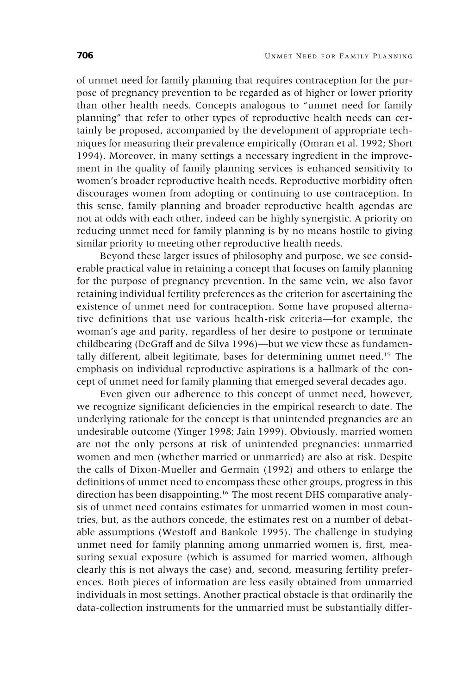of unmet need for family planning that requires contraception for the purpose of pregnancy prevention to be regarded as of higher or lower priority than other health needs. Concepts analogous to "unmet need for family planning" that refer to other types of reproductive health needs can certainly be proposed, accompanied by the development of appropriate techniques for measuring their prevalence empirically (Omran et al. 1992; Short 1994). Moreover, in many settings a necessary ingredient in the improvement in the quality of family planning services is enhanced sensitivity to women's broader reproductive health needs. Reproductive morbidity often discourages women from adopting or continuing to use contraception. In this sense, family planning and broader reproductive health agendas are not at odds with each other, indeed can be highly synergistic. A priority on reducing unmet need for family planning is by no means hostile to giving similar priority to meeting other reproductive health needs.

Beyond these larger issues of philosophy and purpose, we see considerable practical value in retaining a concept that focuses on family planning for the purpose of pregnancy prevention. In the same vein, we also favor retaining individual fertility preferences as the criterion for ascertaining the existence of unmet need for contraception. Some have proposed alternative definitions that use various health-risk criteria—for example, the woman's age and parity, regardless of her desire to postpone or terminate childbearing (DeGraff and de Silva 1996)—but we view these as fundamentally different, albeit legitimate, bases for determining unmet need.<sup>15</sup> The emphasis on individual reproductive aspirations is a hallmark of the concept of unmet need for family planning that emerged several decades ago.

Even given our adherence to this concept of unmet need, however, we recognize significant deficiencies in the empirical research to date. The underlying rationale for the concept is that unintended pregnancies are an undesirable outcome (Yinger 1998; Jain 1999). Obviously, married women are not the only persons at risk of unintended pregnancies: unmarried women and men (whether married or unmarried) are also at risk. Despite the calls of Dixon-Mueller and Germain (1992) and others to enlarge the definitions of unmet need to encompass these other groups, progress in this direction has been disappointing.<sup>16</sup> The most recent DHS comparative analysis of unmet need contains estimates for unmarried women in most countries, but, as the authors concede, the estimates rest on a number of debatable assumptions (Westoff and Bankole 1995). The challenge in studying unmet need for family planning among unmarried women is, first, measuring sexual exposure (which is assumed for married women, although clearly this is not always the case) and, second, measuring fertility preferences. Both pieces of information are less easily obtained from unmarried individuals in most settings. Another practical obstacle is that ordinarily the data-collection instruments for the unmarried must be substantially differ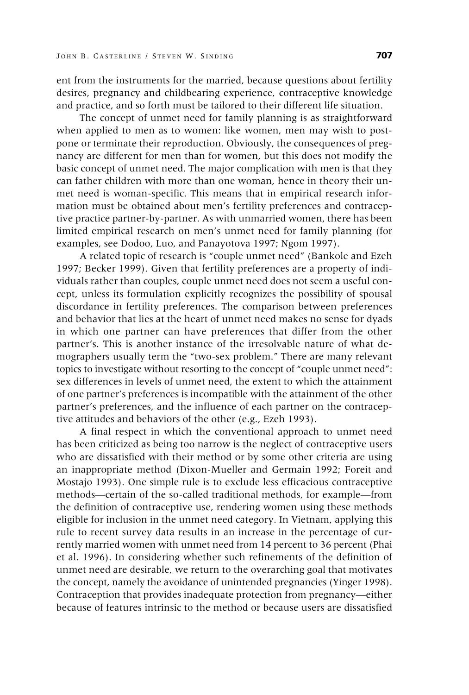ent from the instruments for the married, because questions about fertility desires, pregnancy and childbearing experience, contraceptive knowledge and practice, and so forth must be tailored to their different life situation.

The concept of unmet need for family planning is as straightforward when applied to men as to women: like women, men may wish to postpone or terminate their reproduction. Obviously, the consequences of pregnancy are different for men than for women, but this does not modify the basic concept of unmet need. The major complication with men is that they can father children with more than one woman, hence in theory their unmet need is woman-specific. This means that in empirical research information must be obtained about men's fertility preferences and contraceptive practice partner-by-partner. As with unmarried women, there has been limited empirical research on men's unmet need for family planning (for examples, see Dodoo, Luo, and Panayotova 1997; Ngom 1997).

A related topic of research is "couple unmet need" (Bankole and Ezeh 1997; Becker 1999). Given that fertility preferences are a property of individuals rather than couples, couple unmet need does not seem a useful concept, unless its formulation explicitly recognizes the possibility of spousal discordance in fertility preferences. The comparison between preferences and behavior that lies at the heart of unmet need makes no sense for dyads in which one partner can have preferences that differ from the other partner's. This is another instance of the irresolvable nature of what demographers usually term the "two-sex problem." There are many relevant topics to investigate without resorting to the concept of "couple unmet need": sex differences in levels of unmet need, the extent to which the attainment of one partner's preferences is incompatible with the attainment of the other partner's preferences, and the influence of each partner on the contraceptive attitudes and behaviors of the other (e.g., Ezeh 1993).

A final respect in which the conventional approach to unmet need has been criticized as being too narrow is the neglect of contraceptive users who are dissatisfied with their method or by some other criteria are using an inappropriate method (Dixon-Mueller and Germain 1992; Foreit and Mostajo 1993). One simple rule is to exclude less efficacious contraceptive methods—certain of the so-called traditional methods, for example—from the definition of contraceptive use, rendering women using these methods eligible for inclusion in the unmet need category. In Vietnam, applying this rule to recent survey data results in an increase in the percentage of currently married women with unmet need from 14 percent to 36 percent (Phai et al. 1996). In considering whether such refinements of the definition of unmet need are desirable, we return to the overarching goal that motivates the concept, namely the avoidance of unintended pregnancies (Yinger 1998). Contraception that provides inadequate protection from pregnancy—either because of features intrinsic to the method or because users are dissatisfied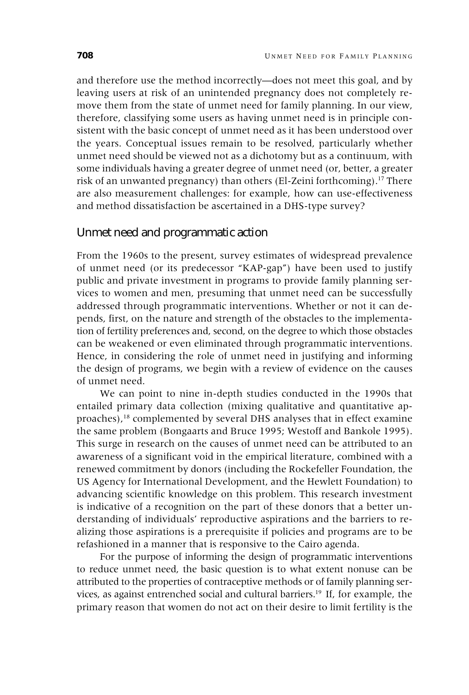and therefore use the method incorrectly—does not meet this goal, and by leaving users at risk of an unintended pregnancy does not completely remove them from the state of unmet need for family planning. In our view, therefore, classifying some users as having unmet need is in principle consistent with the basic concept of unmet need as it has been understood over the years. Conceptual issues remain to be resolved, particularly whether unmet need should be viewed not as a dichotomy but as a continuum, with some individuals having a greater degree of unmet need (or, better, a greater risk of an unwanted pregnancy) than others (El-Zeini forthcoming).17 There are also measurement challenges: for example, how can use-effectiveness and method dissatisfaction be ascertained in a DHS-type survey?

#### Unmet need and programmatic action

From the 1960s to the present, survey estimates of widespread prevalence of unmet need (or its predecessor "KAP-gap") have been used to justify public and private investment in programs to provide family planning services to women and men, presuming that unmet need can be successfully addressed through programmatic interventions. Whether or not it can depends, first, on the nature and strength of the obstacles to the implementation of fertility preferences and, second, on the degree to which those obstacles can be weakened or even eliminated through programmatic interventions. Hence, in considering the role of unmet need in justifying and informing the design of programs, we begin with a review of evidence on the causes of unmet need.

We can point to nine in-depth studies conducted in the 1990s that entailed primary data collection (mixing qualitative and quantitative approaches),<sup>18</sup> complemented by several DHS analyses that in effect examine the same problem (Bongaarts and Bruce 1995; Westoff and Bankole 1995). This surge in research on the causes of unmet need can be attributed to an awareness of a significant void in the empirical literature, combined with a renewed commitment by donors (including the Rockefeller Foundation, the US Agency for International Development, and the Hewlett Foundation) to advancing scientific knowledge on this problem. This research investment is indicative of a recognition on the part of these donors that a better understanding of individuals' reproductive aspirations and the barriers to realizing those aspirations is a prerequisite if policies and programs are to be refashioned in a manner that is responsive to the Cairo agenda.

For the purpose of informing the design of programmatic interventions to reduce unmet need, the basic question is to what extent nonuse can be attributed to the properties of contraceptive methods or of family planning services, as against entrenched social and cultural barriers.19 If, for example, the primary reason that women do not act on their desire to limit fertility is the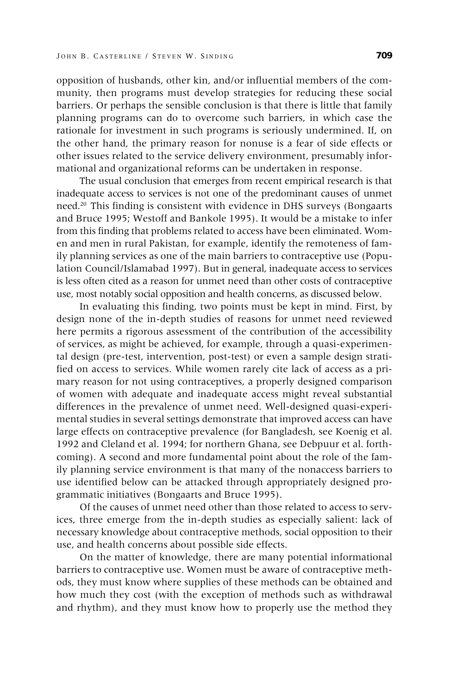opposition of husbands, other kin, and/or influential members of the community, then programs must develop strategies for reducing these social barriers. Or perhaps the sensible conclusion is that there is little that family planning programs can do to overcome such barriers, in which case the rationale for investment in such programs is seriously undermined. If, on the other hand, the primary reason for nonuse is a fear of side effects or other issues related to the service delivery environment, presumably informational and organizational reforms can be undertaken in response.

The usual conclusion that emerges from recent empirical research is that inadequate access to services is not one of the predominant causes of unmet need.20 This finding is consistent with evidence in DHS surveys (Bongaarts and Bruce 1995; Westoff and Bankole 1995). It would be a mistake to infer from this finding that problems related to access have been eliminated. Women and men in rural Pakistan, for example, identify the remoteness of family planning services as one of the main barriers to contraceptive use (Population Council/Islamabad 1997). But in general, inadequate access to services is less often cited as a reason for unmet need than other costs of contraceptive use, most notably social opposition and health concerns, as discussed below.

In evaluating this finding, two points must be kept in mind. First, by design none of the in-depth studies of reasons for unmet need reviewed here permits a rigorous assessment of the contribution of the accessibility of services, as might be achieved, for example, through a quasi-experimental design (pre-test, intervention, post-test) or even a sample design stratified on access to services. While women rarely cite lack of access as a primary reason for not using contraceptives, a properly designed comparison of women with adequate and inadequate access might reveal substantial differences in the prevalence of unmet need. Well-designed quasi-experimental studies in several settings demonstrate that improved access can have large effects on contraceptive prevalence (for Bangladesh, see Koenig et al. 1992 and Cleland et al. 1994; for northern Ghana, see Debpuur et al. forthcoming). A second and more fundamental point about the role of the family planning service environment is that many of the nonaccess barriers to use identified below can be attacked through appropriately designed programmatic initiatives (Bongaarts and Bruce 1995).

Of the causes of unmet need other than those related to access to services, three emerge from the in-depth studies as especially salient: lack of necessary knowledge about contraceptive methods, social opposition to their use, and health concerns about possible side effects.

On the matter of knowledge, there are many potential informational barriers to contraceptive use. Women must be aware of contraceptive methods, they must know where supplies of these methods can be obtained and how much they cost (with the exception of methods such as withdrawal and rhythm), and they must know how to properly use the method they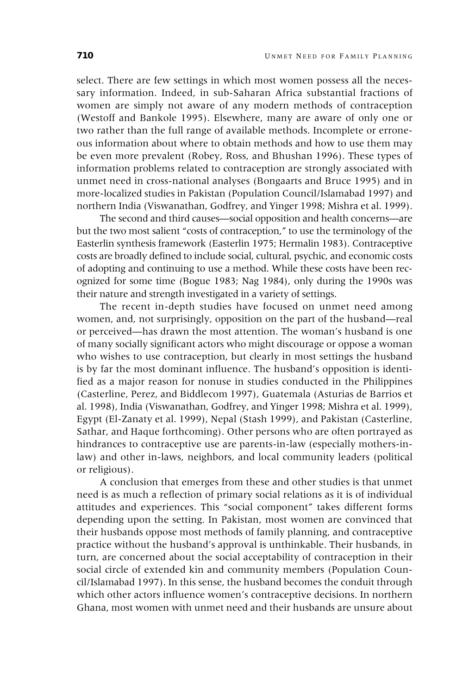select. There are few settings in which most women possess all the necessary information. Indeed, in sub-Saharan Africa substantial fractions of women are simply not aware of any modern methods of contraception (Westoff and Bankole 1995). Elsewhere, many are aware of only one or two rather than the full range of available methods. Incomplete or erroneous information about where to obtain methods and how to use them may be even more prevalent (Robey, Ross, and Bhushan 1996). These types of information problems related to contraception are strongly associated with unmet need in cross-national analyses (Bongaarts and Bruce 1995) and in more-localized studies in Pakistan (Population Council/Islamabad 1997) and northern India (Viswanathan, Godfrey, and Yinger 1998; Mishra et al. 1999).

The second and third causes—social opposition and health concerns—are but the two most salient "costs of contraception," to use the terminology of the Easterlin synthesis framework (Easterlin 1975; Hermalin 1983). Contraceptive costs are broadly defined to include social, cultural, psychic, and economic costs of adopting and continuing to use a method. While these costs have been recognized for some time (Bogue 1983; Nag 1984), only during the 1990s was their nature and strength investigated in a variety of settings.

The recent in-depth studies have focused on unmet need among women, and, not surprisingly, opposition on the part of the husband—real or perceived—has drawn the most attention. The woman's husband is one of many socially significant actors who might discourage or oppose a woman who wishes to use contraception, but clearly in most settings the husband is by far the most dominant influence. The husband's opposition is identified as a major reason for nonuse in studies conducted in the Philippines (Casterline, Perez, and Biddlecom 1997), Guatemala (Asturias de Barrios et al. 1998), India (Viswanathan, Godfrey, and Yinger 1998; Mishra et al. 1999), Egypt (El-Zanaty et al. 1999), Nepal (Stash 1999), and Pakistan (Casterline, Sathar, and Haque forthcoming). Other persons who are often portrayed as hindrances to contraceptive use are parents-in-law (especially mothers-inlaw) and other in-laws, neighbors, and local community leaders (political or religious).

A conclusion that emerges from these and other studies is that unmet need is as much a reflection of primary social relations as it is of individual attitudes and experiences. This "social component" takes different forms depending upon the setting. In Pakistan, most women are convinced that their husbands oppose most methods of family planning, and contraceptive practice without the husband's approval is unthinkable. Their husbands, in turn, are concerned about the social acceptability of contraception in their social circle of extended kin and community members (Population Council/Islamabad 1997). In this sense, the husband becomes the conduit through which other actors influence women's contraceptive decisions. In northern Ghana, most women with unmet need and their husbands are unsure about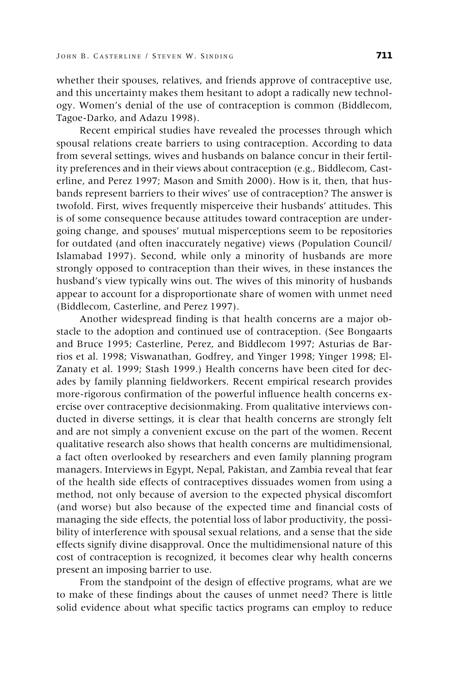whether their spouses, relatives, and friends approve of contraceptive use, and this uncertainty makes them hesitant to adopt a radically new technology. Women's denial of the use of contraception is common (Biddlecom, Tagoe-Darko, and Adazu 1998).

Recent empirical studies have revealed the processes through which spousal relations create barriers to using contraception. According to data from several settings, wives and husbands on balance concur in their fertility preferences and in their views about contraception (e.g., Biddlecom, Casterline, and Perez 1997; Mason and Smith 2000). How is it, then, that husbands represent barriers to their wives' use of contraception? The answer is twofold. First, wives frequently misperceive their husbands' attitudes. This is of some consequence because attitudes toward contraception are undergoing change, and spouses' mutual misperceptions seem to be repositories for outdated (and often inaccurately negative) views (Population Council/ Islamabad 1997). Second, while only a minority of husbands are more strongly opposed to contraception than their wives, in these instances the husband's view typically wins out. The wives of this minority of husbands appear to account for a disproportionate share of women with unmet need (Biddlecom, Casterline, and Perez 1997).

Another widespread finding is that health concerns are a major obstacle to the adoption and continued use of contraception. (See Bongaarts and Bruce 1995; Casterline, Perez, and Biddlecom 1997; Asturias de Barrios et al. 1998; Viswanathan, Godfrey, and Yinger 1998; Yinger 1998; El-Zanaty et al. 1999; Stash 1999.) Health concerns have been cited for decades by family planning fieldworkers. Recent empirical research provides more-rigorous confirmation of the powerful influence health concerns exercise over contraceptive decisionmaking. From qualitative interviews conducted in diverse settings, it is clear that health concerns are strongly felt and are not simply a convenient excuse on the part of the women. Recent qualitative research also shows that health concerns are multidimensional, a fact often overlooked by researchers and even family planning program managers. Interviews in Egypt, Nepal, Pakistan, and Zambia reveal that fear of the health side effects of contraceptives dissuades women from using a method, not only because of aversion to the expected physical discomfort (and worse) but also because of the expected time and financial costs of managing the side effects, the potential loss of labor productivity, the possibility of interference with spousal sexual relations, and a sense that the side effects signify divine disapproval. Once the multidimensional nature of this cost of contraception is recognized, it becomes clear why health concerns present an imposing barrier to use.

From the standpoint of the design of effective programs, what are we to make of these findings about the causes of unmet need? There is little solid evidence about what specific tactics programs can employ to reduce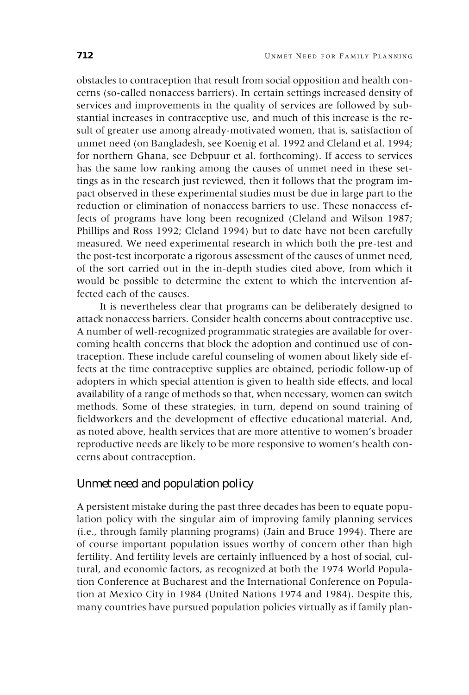obstacles to contraception that result from social opposition and health concerns (so-called nonaccess barriers). In certain settings increased density of services and improvements in the quality of services are followed by substantial increases in contraceptive use, and much of this increase is the result of greater use among already-motivated women, that is, satisfaction of unmet need (on Bangladesh, see Koenig et al. 1992 and Cleland et al. 1994; for northern Ghana, see Debpuur et al. forthcoming). If access to services has the same low ranking among the causes of unmet need in these settings as in the research just reviewed, then it follows that the program impact observed in these experimental studies must be due in large part to the reduction or elimination of nonaccess barriers to use. These nonaccess effects of programs have long been recognized (Cleland and Wilson 1987; Phillips and Ross 1992; Cleland 1994) but to date have not been carefully measured. We need experimental research in which both the pre-test and the post-test incorporate a rigorous assessment of the causes of unmet need, of the sort carried out in the in-depth studies cited above, from which it would be possible to determine the extent to which the intervention affected each of the causes.

It is nevertheless clear that programs can be deliberately designed to attack nonaccess barriers. Consider health concerns about contraceptive use. A number of well-recognized programmatic strategies are available for overcoming health concerns that block the adoption and continued use of contraception. These include careful counseling of women about likely side effects at the time contraceptive supplies are obtained, periodic follow-up of adopters in which special attention is given to health side effects, and local availability of a range of methods so that, when necessary, women can switch methods. Some of these strategies, in turn, depend on sound training of fieldworkers and the development of effective educational material. And, as noted above, health services that are more attentive to women's broader reproductive needs are likely to be more responsive to women's health concerns about contraception.

#### Unmet need and population policy

A persistent mistake during the past three decades has been to equate population policy with the singular aim of improving family planning services (i.e., through family planning programs) (Jain and Bruce 1994). There are of course important population issues worthy of concern other than high fertility. And fertility levels are certainly influenced by a host of social, cultural, and economic factors, as recognized at both the 1974 World Population Conference at Bucharest and the International Conference on Population at Mexico City in 1984 (United Nations 1974 and 1984). Despite this, many countries have pursued population policies virtually as if family plan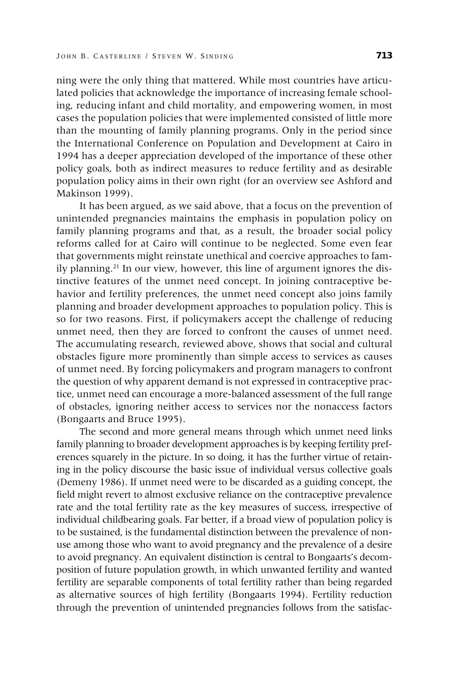ning were the only thing that mattered. While most countries have articulated policies that acknowledge the importance of increasing female schooling, reducing infant and child mortality, and empowering women, in most cases the population policies that were implemented consisted of little more than the mounting of family planning programs. Only in the period since the International Conference on Population and Development at Cairo in 1994 has a deeper appreciation developed of the importance of these other policy goals, both as indirect measures to reduce fertility and as desirable population policy aims in their own right (for an overview see Ashford and Makinson 1999).

It has been argued, as we said above, that a focus on the prevention of unintended pregnancies maintains the emphasis in population policy on family planning programs and that, as a result, the broader social policy reforms called for at Cairo will continue to be neglected. Some even fear that governments might reinstate unethical and coercive approaches to family planning.<sup>21</sup> In our view, however, this line of argument ignores the distinctive features of the unmet need concept. In joining contraceptive behavior and fertility preferences, the unmet need concept also joins family planning and broader development approaches to population policy. This is so for two reasons. First, if policymakers accept the challenge of reducing unmet need, then they are forced to confront the causes of unmet need. The accumulating research, reviewed above, shows that social and cultural obstacles figure more prominently than simple access to services as causes of unmet need. By forcing policymakers and program managers to confront the question of why apparent demand is not expressed in contraceptive practice, unmet need can encourage a more-balanced assessment of the full range of obstacles, ignoring neither access to services nor the nonaccess factors (Bongaarts and Bruce 1995).

The second and more general means through which unmet need links family planning to broader development approaches is by keeping fertility preferences squarely in the picture. In so doing, it has the further virtue of retaining in the policy discourse the basic issue of individual versus collective goals (Demeny 1986). If unmet need were to be discarded as a guiding concept, the field might revert to almost exclusive reliance on the contraceptive prevalence rate and the total fertility rate as the key measures of success, irrespective of individual childbearing goals. Far better, if a broad view of population policy is to be sustained, is the fundamental distinction between the prevalence of nonuse among those who want to avoid pregnancy and the prevalence of a desire to avoid pregnancy. An equivalent distinction is central to Bongaarts's decomposition of future population growth, in which unwanted fertility and wanted fertility are separable components of total fertility rather than being regarded as alternative sources of high fertility (Bongaarts 1994). Fertility reduction through the prevention of unintended pregnancies follows from the satisfac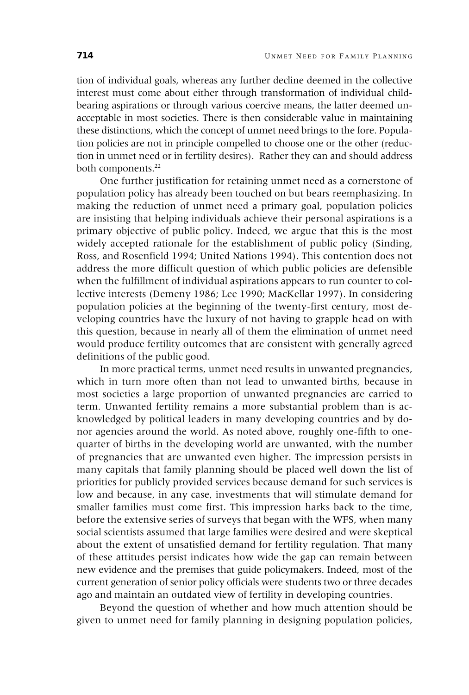tion of individual goals, whereas any further decline deemed in the collective interest must come about either through transformation of individual childbearing aspirations or through various coercive means, the latter deemed unacceptable in most societies. There is then considerable value in maintaining these distinctions, which the concept of unmet need brings to the fore. Population policies are not in principle compelled to choose one or the other (reduction in unmet need or in fertility desires). Rather they can and should address both components.<sup>22</sup>

One further justification for retaining unmet need as a cornerstone of population policy has already been touched on but bears reemphasizing. In making the reduction of unmet need a primary goal, population policies are insisting that helping individuals achieve their personal aspirations is a primary objective of public policy. Indeed, we argue that this is the most widely accepted rationale for the establishment of public policy (Sinding, Ross, and Rosenfield 1994; United Nations 1994). This contention does not address the more difficult question of which public policies are defensible when the fulfillment of individual aspirations appears to run counter to collective interests (Demeny 1986; Lee 1990; MacKellar 1997). In considering population policies at the beginning of the twenty-first century, most developing countries have the luxury of not having to grapple head on with this question, because in nearly all of them the elimination of unmet need would produce fertility outcomes that are consistent with generally agreed definitions of the public good.

In more practical terms, unmet need results in unwanted pregnancies, which in turn more often than not lead to unwanted births, because in most societies a large proportion of unwanted pregnancies are carried to term. Unwanted fertility remains a more substantial problem than is acknowledged by political leaders in many developing countries and by donor agencies around the world. As noted above, roughly one-fifth to onequarter of births in the developing world are unwanted, with the number of pregnancies that are unwanted even higher. The impression persists in many capitals that family planning should be placed well down the list of priorities for publicly provided services because demand for such services is low and because, in any case, investments that will stimulate demand for smaller families must come first. This impression harks back to the time, before the extensive series of surveys that began with the WFS, when many social scientists assumed that large families were desired and were skeptical about the extent of unsatisfied demand for fertility regulation. That many of these attitudes persist indicates how wide the gap can remain between new evidence and the premises that guide policymakers. Indeed, most of the current generation of senior policy officials were students two or three decades ago and maintain an outdated view of fertility in developing countries.

Beyond the question of whether and how much attention should be given to unmet need for family planning in designing population policies,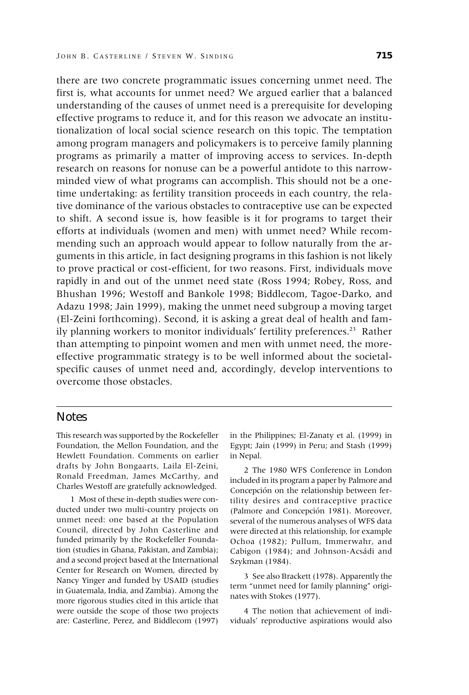there are two concrete programmatic issues concerning unmet need. The first is, what accounts for unmet need? We argued earlier that a balanced understanding of the causes of unmet need is a prerequisite for developing effective programs to reduce it, and for this reason we advocate an institutionalization of local social science research on this topic. The temptation among program managers and policymakers is to perceive family planning programs as primarily a matter of improving access to services. In-depth research on reasons for nonuse can be a powerful antidote to this narrowminded view of what programs can accomplish. This should not be a onetime undertaking: as fertility transition proceeds in each country, the relative dominance of the various obstacles to contraceptive use can be expected to shift. A second issue is, how feasible is it for programs to target their efforts at individuals (women and men) with unmet need? While recommending such an approach would appear to follow naturally from the arguments in this article, in fact designing programs in this fashion is not likely to prove practical or cost-efficient, for two reasons. First, individuals move rapidly in and out of the unmet need state (Ross 1994; Robey, Ross, and Bhushan 1996; Westoff and Bankole 1998; Biddlecom, Tagoe-Darko, and Adazu 1998; Jain 1999), making the unmet need subgroup a moving target (El-Zeini forthcoming). Second, it is asking a great deal of health and family planning workers to monitor individuals' fertility preferences.<sup>23</sup> Rather than attempting to pinpoint women and men with unmet need, the moreeffective programmatic strategy is to be well informed about the societalspecific causes of unmet need and, accordingly, develop interventions to overcome those obstacles.

#### **Notes**

This research was supported by the Rockefeller Foundation, the Mellon Foundation, and the Hewlett Foundation. Comments on earlier drafts by John Bongaarts, Laila El-Zeini, Ronald Freedman, James McCarthy, and Charles Westoff are gratefully acknowledged.

1 Most of these in-depth studies were conducted under two multi-country projects on unmet need: one based at the Population Council, directed by John Casterline and funded primarily by the Rockefeller Foundation (studies in Ghana, Pakistan, and Zambia); and a second project based at the International Center for Research on Women, directed by Nancy Yinger and funded by USAID (studies in Guatemala, India, and Zambia). Among the more rigorous studies cited in this article that were outside the scope of those two projects are: Casterline, Perez, and Biddlecom (1997) in the Philippines; El-Zanaty et al. (1999) in Egypt; Jain (1999) in Peru; and Stash (1999) in Nepal.

2 The 1980 WFS Conference in London included in its program a paper by Palmore and Concepción on the relationship between fertility desires and contraceptive practice (Palmore and Concepción 1981). Moreover, several of the numerous analyses of WFS data were directed at this relationship, for example Ochoa (1982); Pullum, Immerwahr, and Cabigon (1984); and Johnson-Acsádi and Szykman (1984).

3 See also Brackett (1978). Apparently the term "unmet need for family planning" originates with Stokes (1977).

4 The notion that achievement of individuals' reproductive aspirations would also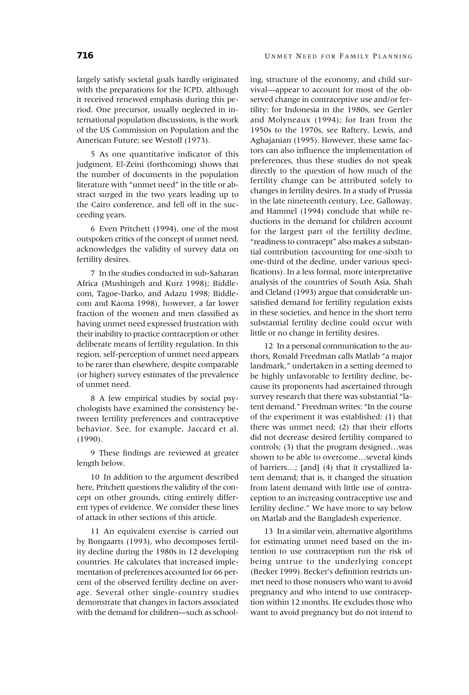largely satisfy societal goals hardly originated with the preparations for the ICPD, although it received renewed emphasis during this period. One precursor, usually neglected in international population discussions, is the work of the US Commission on Population and the American Future; see Westoff (1973).

5 As one quantitative indicator of this judgment, El-Zeini (forthcoming) shows that the number of documents in the population literature with "unmet need" in the title or abstract surged in the two years leading up to the Cairo conference, and fell off in the succeeding years.

6 Even Pritchett (1994), one of the most outspoken critics of the concept of unmet need, acknowledges the validity of survey data on fertility desires.

7 In the studies conducted in sub-Saharan Africa (Mushingeh and Kurz 1998); Biddlecom, Tagoe-Darko, and Adazu 1998; Biddlecom and Kaona 1998), however, a far lower fraction of the women and men classified as having unmet need expressed frustration with their inability to practice contraception or other deliberate means of fertility regulation. In this region, self-perception of unmet need appears to be rarer than elsewhere, despite comparable (or higher) survey estimates of the prevalence of unmet need.

8 A few empirical studies by social psychologists have examined the consistency between fertility preferences and contraceptive behavior. See, for example, Jaccard et al. (1990).

9 These findings are reviewed at greater length below.

10 In addition to the argument described here, Pritchett questions the validity of the concept on other grounds, citing entirely different types of evidence. We consider these lines of attack in other sections of this article.

11 An equivalent exercise is carried out by Bongaarts (1993), who decomposes fertility decline during the 1980s in 12 developing countries. He calculates that increased implementation of preferences accounted for 66 percent of the observed fertility decline on average. Several other single-country studies demonstrate that changes in factors associated with the demand for children—such as schooling, structure of the economy, and child survival—appear to account for most of the observed change in contraceptive use and/or fertility: for Indonesia in the 1980s, see Gertler and Molyneaux (1994); for Iran from the 1950s to the 1970s, see Raftery, Lewis, and Aghajanian (1995). However, these same factors can also influence the implementation of preferences, thus these studies do not speak directly to the question of how much of the fertility change can be attributed solely to changes in fertility desires. In a study of Prussia in the late nineteenth century, Lee, Galloway, and Hammel (1994) conclude that while reductions in the demand for children account for the largest part of the fertility decline, "readiness to contracept" also makes a substantial contribution (accounting for one-sixth to one-third of the decline, under various specifications). In a less formal, more interpretative analysis of the countries of South Asia, Shah and Cleland (1993) argue that considerable unsatisfied demand for fertility regulation exists in these societies, and hence in the short term substantial fertility decline could occur with little or no change in fertility desires.

12 In a personal communication to the authors, Ronald Freedman calls Matlab "a major landmark," undertaken in a setting deemed to be highly unfavorable to fertility decline, because its proponents had ascertained through survey research that there was substantial "latent demand." Freedman writes: "In the course of the experiment it was established: (1) that there was unmet need; (2) that their efforts did not decrease desired fertility compared to controls; (3) that the program designed…was shown to be able to overcome…several kinds of barriers…; [and] (4) that it crystallized latent demand; that is, it changed the situation from latent demand with little use of contraception to an increasing contraceptive use and fertility decline." We have more to say below on Matlab and the Bangladesh experience.

13 In a similar vein, alternative algorithms for estimating unmet need based on the intention to use contraception run the risk of being untrue to the underlying concept (Becker 1999).Becker's definition restricts unmet need to those nonusers who want to avoid pregnancy and who intend to use contraception within 12 months. He excludes those who want to avoid pregnancy but do not intend to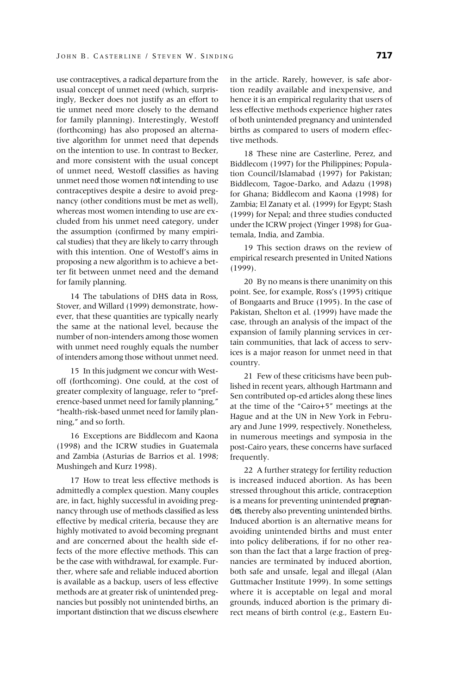use contraceptives, a radical departure from the usual concept of unmet need (which, surprisingly, Becker does not justify as an effort to tie unmet need more closely to the demand for family planning). Interestingly, Westoff (forthcoming) has also proposed an alternative algorithm for unmet need that depends on the intention to use. In contrast to Becker, and more consistent with the usual concept of unmet need, Westoff classifies as having unmet need those women *not* intending to use contraceptives despite a desire to avoid pregnancy (other conditions must be met as well), whereas most women intending to use are excluded from his unmet need category, under the assumption (confirmed by many empirical studies) that they are likely to carry through with this intention. One of Westoff's aims in proposing a new algorithm is to achieve a better fit between unmet need and the demand for family planning.

14 The tabulations of DHS data in Ross, Stover, and Willard (1999) demonstrate, however, that these quantities are typically nearly the same at the national level, because the number of non-intenders among those women with unmet need roughly equals the number of intenders among those without unmet need.

15 In this judgment we concur with Westoff (forthcoming). One could, at the cost of greater complexity of language, refer to "preference-based unmet need for family planning," "health-risk-based unmet need for family planning," and so forth.

16 Exceptions are Biddlecom and Kaona (1998) and the ICRW studies in Guatemala and Zambia (Asturias de Barrios et al. 1998; Mushingeh and Kurz 1998).

17 How to treat less effective methods is admittedly a complex question. Many couples are, in fact, highly successful in avoiding pregnancy through use of methods classified as less effective by medical criteria, because they are highly motivated to avoid becoming pregnant and are concerned about the health side effects of the more effective methods. This can be the case with withdrawal, for example. Further, where safe and reliable induced abortion is available as a backup, users of less effective methods are at greater risk of unintended pregnancies but possibly not unintended births, an important distinction that we discuss elsewhere

in the article. Rarely, however, is safe abortion readily available and inexpensive, and hence it is an empirical regularity that users of less effective methods experience higher rates of both unintended pregnancy and unintended births as compared to users of modern effective methods.

18 These nine are Casterline, Perez, and Biddlecom (1997) for the Philippines; Population Council/Islamabad (1997) for Pakistan; Biddlecom, Tagoe-Darko, and Adazu (1998) for Ghana; Biddlecom and Kaona (1998) for Zambia; El Zanaty et al. (1999) for Egypt; Stash (1999) for Nepal; and three studies conducted under the ICRW project (Yinger 1998) for Guatemala, India, and Zambia.

19 This section draws on the review of empirical research presented in United Nations (1999).

20 By no means is there unanimity on this point. See, for example, Ross's (1995) critique of Bongaarts and Bruce (1995). In the case of Pakistan, Shelton et al. (1999) have made the case, through an analysis of the impact of the expansion of family planning services in certain communities, that lack of access to services is a major reason for unmet need in that country.

21 Few of these criticisms have been published in recent years, although Hartmann and Sen contributed op-ed articles along these lines at the time of the "Cairo+5" meetings at the Hague and at the UN in New York in February and June 1999, respectively. Nonetheless, in numerous meetings and symposia in the post-Cairo years, these concerns have surfaced frequently.

22 A further strategy for fertility reduction is increased induced abortion. As has been stressed throughout this article, contraception is a means for preventing unintended *pregnancies*, thereby also preventing unintended births. Induced abortion is an alternative means for avoiding unintended births and must enter into policy deliberations, if for no other reason than the fact that a large fraction of pregnancies are terminated by induced abortion, both safe and unsafe, legal and illegal (Alan Guttmacher Institute 1999). In some settings where it is acceptable on legal and moral grounds, induced abortion is the primary direct means of birth control (e.g., Eastern Eu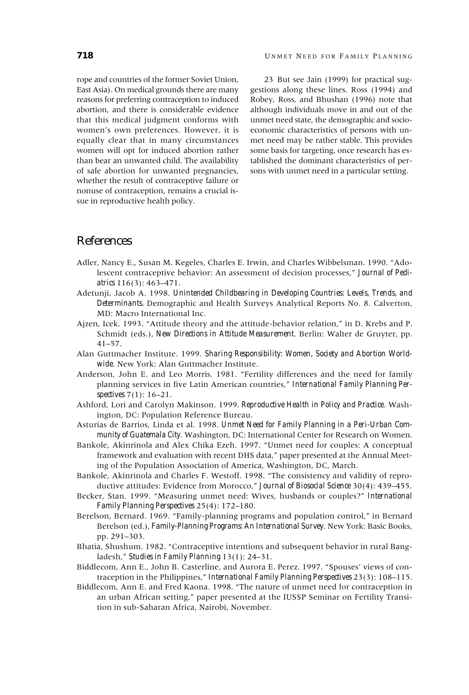rope and countries of the former Soviet Union, East Asia). On medical grounds there are many reasons for preferring contraception to induced abortion, and there is considerable evidence that this medical judgment conforms with women's own preferences. However, it is equally clear that in many circumstances women will opt for induced abortion rather than bear an unwanted child. The availability of safe abortion for unwanted pregnancies, whether the result of contraceptive failure or nonuse of contraception, remains a crucial issue in reproductive health policy.

23 But see Jain (1999) for practical suggestions along these lines. Ross (1994) and Robey, Ross, and Bhushan (1996) note that although individuals move in and out of the unmet need state, the demographic and socioeconomic characteristics of persons with unmet need may be rather stable. This provides some basis for targeting, once research has established the dominant characteristics of persons with unmet need in a particular setting.

#### References

- Adler, Nancy E., Susan M. Kegeles, Charles E. Irwin, and Charles Wibbelsman. 1990. "Adolescent contraceptive behavior: An assessment of decision processes," *Journal of Pediatrics* 116(3): 463–471.
- Adetunji, Jacob A. 1998. *Unintended Childbearing in Developing Countries: Levels, Trends, and Determinants.* Demographic and Health Surveys Analytical Reports No. 8. Calverton, MD: Macro International Inc.
- Ajzen, Icek. 1993. "Attitude theory and the attitude-behavior relation," in D. Krebs and P. Schmidt (eds.), *New Directions in Attitude Measurement*. Berlin: Walter de Gruyter, pp. 41–57.
- Alan Guttmacher Institute. 1999. *Sharing Responsibility: Women, Society and Abortion Worldwide*. New York: Alan Guttmacher Institute.
- Anderson, John E. and Leo Morris. 1981. "Fertility differences and the need for family planning services in five Latin American countries," *International Family Planning Perspectives* 7(1): 16–21.
- Ashford, Lori and Carolyn Makinson. 1999*. Reproductive Health in Policy and Practice*. Washington, DC: Population Reference Bureau.
- Asturias de Barrios, Linda et al. 1998. *Unmet Need for Family Planning in a Peri-Urban Community of Guatemala City*. Washington, DC: International Center for Research on Women.
- Bankole, Akinrinola and Alex Chika Ezeh. 1997. "Unmet need for couples: A conceptual framework and evaluation with recent DHS data," paper presented at the Annual Meeting of the Population Association of America, Washington, DC, March.
- Bankole, Akinrinola and Charles F. Westoff. 1998. "The consistency and validity of reproductive attitudes: Evidence from Morocco," *Journal of Biosocial Science* 30(4): 439–455.
- Becker, Stan. 1999. "Measuring unmet need: Wives, husbands or couples?" *International Family Planning Perspectives* 25(4): 172–180.
- Berelson, Bernard. 1969. "Family-planning programs and population control," in Bernard Berelson (ed.), *Family-Planning Programs: An International Survey*. New York: Basic Books, pp. 291–303.
- Bhatia, Shushum. 1982. "Contraceptive intentions and subsequent behavior in rural Bangladesh," *Studies in Family Planning* 13(1): 24–31.
- Biddlecom, Ann E., John B. Casterline, and Aurora E. Perez. 1997. "Spouses' views of contraception in the Philippines," *International Family Planning Perspectives* 23(3): 108–115.
- Biddlecom, Ann E. and Fred Kaona. 1998. "The nature of unmet need for contraception in an urban African setting," paper presented at the IUSSP Seminar on Fertility Transition in sub-Saharan Africa, Nairobi, November.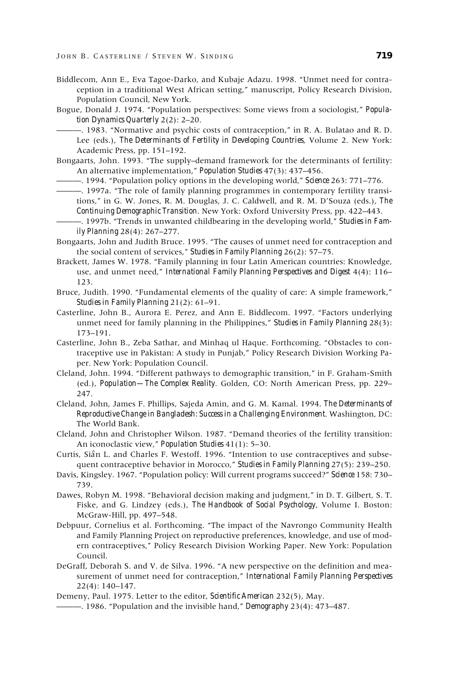- Biddlecom, Ann E., Eva Tagoe-Darko, and Kubaje Adazu. 1998. "Unmet need for contraception in a traditional West African setting," manuscript, Policy Research Division, Population Council, New York.
- Bogue, Donald J. 1974. "Population perspectives: Some views from a sociologist," *Population Dynamics Quarterly* 2(2): 2–20.

———. 1983. "Normative and psychic costs of contraception," in R. A. Bulatao and R. D. Lee (eds.), *The Determinants of Fertility in Developing Countries*, Volume 2. New York: Academic Press, pp. 151–192.

- Bongaarts, John. 1993. "The supply–demand framework for the determinants of fertility: An alternative implementation," *Population Studies* 47(3): 437–456.
	- ———. 1994. "Population policy options in the developing world," *Science* 263: 771–776.
- ———. 1997a. "The role of family planning programmes in contemporary fertility transitions," in G. W. Jones, R. M. Douglas, J. C. Caldwell, and R. M. D'Souza (eds.), *The Continuing Demographic Transition*. New York: Oxford University Press, pp. 422–443.
- ———. 1997b. "Trends in unwanted childbearing in the developing world," *Studies in Family Planning* 28(4): 267–277.
- Bongaarts, John and Judith Bruce. 1995. "The causes of unmet need for contraception and the social content of services," *Studies in Family Planning* 26(2): 57–75.
- Brackett, James W. 1978. "Family planning in four Latin American countries: Knowledge, use, and unmet need," *International Family Planning Perspectives and Digest* 4(4): 116– 123.
- Bruce, Judith. 1990. "Fundamental elements of the quality of care: A simple framework," *Studies in Family Planning* 21(2): 61–91.
- Casterline, John B., Aurora E. Perez, and Ann E. Biddlecom. 1997. "Factors underlying unmet need for family planning in the Philippines," *Studies in Family Planning* 28(3): 173–191.
- Casterline, John B., Zeba Sathar, and Minhaq ul Haque. Forthcoming. "Obstacles to contraceptive use in Pakistan: A study in Punjab," Policy Research Division Working Paper. New York: Population Council.
- Cleland, John. 1994. "Different pathways to demographic transition," in F. Graham-Smith (ed.), *Population—The Complex Reality*. Golden, CO: North American Press, pp. 229– 247.
- Cleland, John, James F. Phillips, Sajeda Amin, and G. M. Kamal. 1994. *The Determinants of Reproductive Change in Bangladesh: Success in a Challenging Environment*. Washington, DC: The World Bank.
- Cleland, John and Christopher Wilson. 1987. "Demand theories of the fertility transition: An iconoclastic view," *Population Studies* 41(1): 5–30.
- Curtis, Siân L. and Charles F. Westoff. 1996. "Intention to use contraceptives and subsequent contraceptive behavior in Morocco," *Studies in Family Planning* 27(5): 239–250.
- Davis, Kingsley. 1967. "Population policy: Will current programs succeed?" *Science* 158: 730– 739.
- Dawes, Robyn M. 1998. "Behavioral decision making and judgment," in D. T. Gilbert, S. T. Fiske, and G. Lindzey (eds.), *The Handbook of Social Psychology*, Volume I. Boston: McGraw-Hill, pp. 497–548.
- Debpuur, Cornelius et al. Forthcoming. "The impact of the Navrongo Community Health and Family Planning Project on reproductive preferences, knowledge, and use of modern contraceptives," Policy Research Division Working Paper. New York: Population Council.
- DeGraff, Deborah S. and V. de Silva. 1996. "A new perspective on the definition and measurement of unmet need for contraception," *International Family Planning Perspectives* 22(4): 140–147.

Demeny, Paul. 1975. Letter to the editor, *Scientific American* 232(5), May.

———. 1986. "Population and the invisible hand," *Demography* 23(4): 473–487.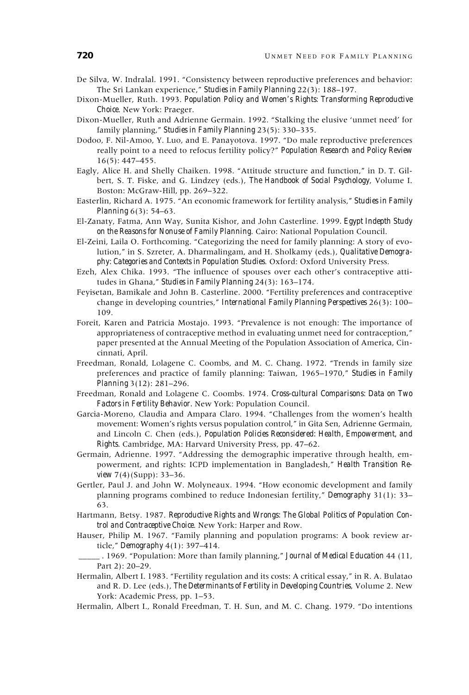- De Silva, W. Indralal. 1991. "Consistency between reproductive preferences and behavior: The Sri Lankan experience," *Studies in Family Planning* 22(3): 188–197.
- Dixon-Mueller, Ruth. 1993. *Population Policy and Women's Rights: Transforming Reproductive Choice*. New York: Praeger.
- Dixon-Mueller, Ruth and Adrienne Germain. 1992. "Stalking the elusive 'unmet need' for family planning," *Studies in Family Planning* 23(5): 330–335.
- Dodoo, F. Nil-Amoo, Y. Luo, and E. Panayotova. 1997. "Do male reproductive preferences really point to a need to refocus fertility policy?" *Population Research and Policy Review* 16(5): 447–455.
- Eagly, Alice H. and Shelly Chaiken. 1998. "Attitude structure and function," in D. T. Gilbert, S. T. Fiske, and G. Lindzey (eds.), *The Handbook of Social Psychology*, Volume I. Boston: McGraw-Hill, pp. 269–322.
- Easterlin, Richard A. 1975. "An economic framework for fertility analysis," *Studies in Family Planning* 6(3): 54–63.
- El-Zanaty, Fatma, Ann Way, Sunita Kishor, and John Casterline. 1999*. Egypt Indepth Study on the Reasons for Nonuse of Family Planning*. Cairo: National Population Council.
- El-Zeini, Laila O. Forthcoming. "Categorizing the need for family planning: A story of evolution," in S. Szreter, A. Dharmalingam, and H. Sholkamy (eds.), *Qualitative Demography: Categories and Contexts in Population Studies*. Oxford: Oxford University Press.
- Ezeh, Alex Chika. 1993. "The influence of spouses over each other's contraceptive attitudes in Ghana," *Studies in Family Planning* 24(3): 163–174.
- Feyisetan, Bamikale and John B. Casterline. 2000. "Fertility preferences and contraceptive change in developing countries," *International Family Planning Perspectives* 26(3): 100– 109.
- Foreit, Karen and Patricia Mostajo. 1993. "Prevalence is not enough: The importance of appropriateness of contraceptive method in evaluating unmet need for contraception," paper presented at the Annual Meeting of the Population Association of America, Cincinnati, April.
- Freedman, Ronald, Lolagene C. Coombs, and M. C. Chang. 1972. "Trends in family size preferences and practice of family planning: Taiwan, 1965–1970," *Studies in Family Planning* 3(12): 281–296.
- Freedman, Ronald and Lolagene C. Coombs. 1974. *Cross-cultural Comparisons: Data on Two Factors in Fertility Behavior.* New York: Population Council.
- Garcia-Moreno, Claudia and Ampara Claro. 1994. "Challenges from the women's health movement: Women's rights versus population control," in Gita Sen, Adrienne Germain, and Lincoln C. Chen (eds.), *Population Policies Reconsidered: Health, Empowerment, and Rights*. Cambridge, MA: Harvard University Press, pp. 47–62.
- Germain, Adrienne. 1997. "Addressing the demographic imperative through health, empowerment, and rights: ICPD implementation in Bangladesh," *Health Transition Review* 7(4)(Supp): 33–36.
- Gertler, Paul J. and John W. Molyneaux. 1994. "How economic development and family planning programs combined to reduce Indonesian fertility," *Demography* 31(1): 33– 63.
- Hartmann, Betsy. 1987. *Reproductive Rights and Wrongs: The Global Politics of Population Control and Contraceptive Choice*. New York: Harper and Row.
- Hauser, Philip M. 1967. "Family planning and population programs: A book review article," *Demography* 4(1): 397–414.
- \_\_\_\_\_ . 1969. "Population: More than family planning," *Journal of Medical Education* 44 (11, Part 2): 20–29.
- Hermalin, Albert I. 1983. "Fertility regulation and its costs: A critical essay," in R. A. Bulatao and R. D. Lee (eds.), *The Determinants of Fertility in Developing Countries*, Volume 2. New York: Academic Press, pp. 1–53.
- Hermalin, Albert I., Ronald Freedman, T. H. Sun, and M. C. Chang. 1979. "Do intentions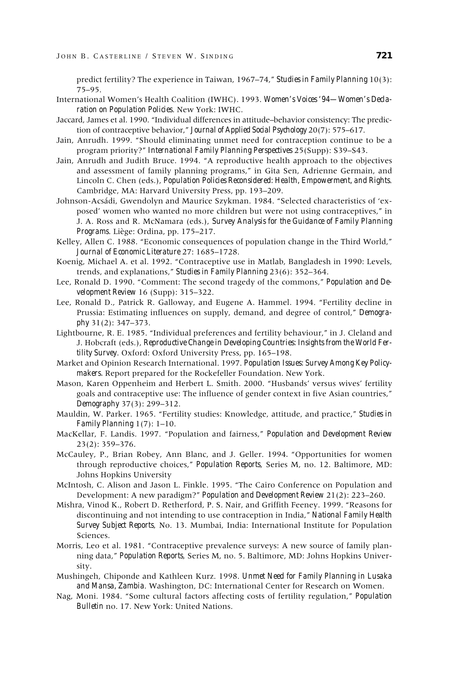predict fertility? The experience in Taiwan, 1967–74," *Studies in Family Planning* 10(3): 75–95.

- International Women's Health Coalition (IWHC). 1993. *Women's Voices '94—Women's Declaration on Population Policies*. New York: IWHC.
- Jaccard, James et al. 1990. "Individual differences in attitude–behavior consistency: The prediction of contraceptive behavior," *Journal of Applied Social Psychology* 20(7): 575–617.
- Jain, Anrudh. 1999. "Should eliminating unmet need for contraception continue to be a program priority?" *International Family Planning Perspectives* 25(Supp): S39–S43.
- Jain, Anrudh and Judith Bruce. 1994. "A reproductive health approach to the objectives and assessment of family planning programs," in Gita Sen, Adrienne Germain, and Lincoln C. Chen (eds.), *Population Policies Reconsidered: Health, Empowerment, and Rights*. Cambridge, MA: Harvard University Press, pp. 193–209.
- Johnson-Acsádi, Gwendolyn and Maurice Szykman. 1984. "Selected characteristics of 'exposed' women who wanted no more children but were not using contraceptives," in J. A. Ross and R. McNamara (eds.), *Survey Analysis for the Guidance of Family Planning Programs*. Liège: Ordina, pp. 175–217.
- Kelley, Allen C. 1988. "Economic consequences of population change in the Third World," *Journal of Economic Literature* 27: 1685–1728.
- Koenig, Michael A. et al. 1992. "Contraceptive use in Matlab, Bangladesh in 1990: Levels, trends, and explanations," *Studies in Family Planning* 23(6): 352–364.
- Lee, Ronald D. 1990. "Comment: The second tragedy of the commons," *Population and Development Review* 16 (Supp): 315–322.
- Lee, Ronald D., Patrick R. Galloway, and Eugene A. Hammel. 1994. "Fertility decline in Prussia: Estimating influences on supply, demand, and degree of control," *Demography* 31(2): 347–373.
- Lightbourne, R. E. 1985. "Individual preferences and fertility behaviour," in J. Cleland and J. Hobcraft (eds.), *Reproductive Change in Developing Countries: Insights from the World Fertility Survey*. Oxford: Oxford University Press, pp. 165–198.
- Market and Opinion Research International. 1997. *Population Issues: Survey Among Key Policymakers.* Report prepared for the Rockefeller Foundation. New York.
- Mason, Karen Oppenheim and Herbert L. Smith. 2000. "Husbands' versus wives' fertility goals and contraceptive use: The influence of gender context in five Asian countries," *Demography* 37(3): 299–312.
- Mauldin, W. Parker. 1965. "Fertility studies: Knowledge, attitude, and practice," *Studies in Family Planning* 1(7): 1–10.
- MacKellar, F. Landis. 1997. "Population and fairness," *Population and Development Review* 23(2): 359–376.
- McCauley, P., Brian Robey, Ann Blanc, and J. Geller. 1994*.* "Opportunities for women through reproductive choices," *Population Reports*, Series M, no. 12. Baltimore, MD: Johns Hopkins University
- McIntosh, C. Alison and Jason L. Finkle. 1995. "The Cairo Conference on Population and Development: A new paradigm?" *Population and Development Review* 21(2): 223–260.
- Mishra, Vinod K., Robert D. Retherford, P. S. Nair, and Griffith Feeney. 1999. "Reasons for discontinuing and not intending to use contraception in India," *National Family Health Survey Subject Reports*, No. 13. Mumbai, India: International Institute for Population Sciences.
- Morris, Leo et al. 1981. "Contraceptive prevalence surveys: A new source of family planning data," *Population Reports*, Series M, no. 5. Baltimore, MD: Johns Hopkins University.
- Mushingeh, Chiponde and Kathleen Kurz. 1998. *Unmet Need for Family Planning in Lusaka and Mansa, Zambia*. Washington, DC: International Center for Research on Women.
- Nag, Moni. 1984. "Some cultural factors affecting costs of fertility regulation," *Population Bulletin* no. 17. New York: United Nations.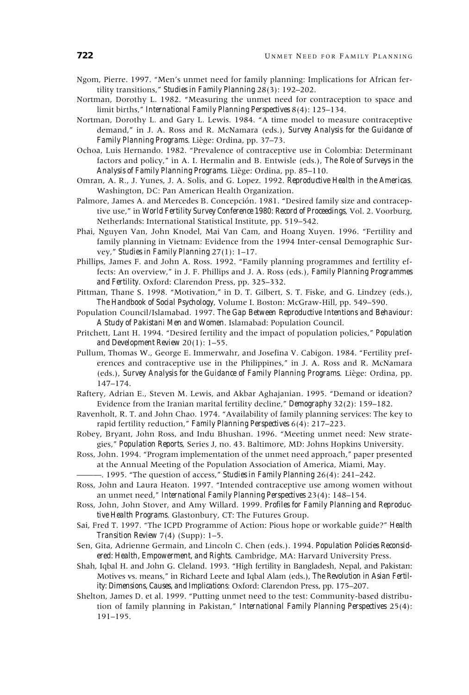- Ngom, Pierre. 1997. "Men's unmet need for family planning: Implications for African fertility transitions," *Studies in Family Planning* 28(3): 192–202.
- Nortman, Dorothy L. 1982. "Measuring the unmet need for contraception to space and limit births," *International Family Planning Perspectives* 8(4): 125–134.
- Nortman, Dorothy L. and Gary L. Lewis. 1984. "A time model to measure contraceptive demand," in J. A. Ross and R. McNamara (eds.), *Survey Analysis for the Guidance of Family Planning Programs*. Liège: Ordina, pp. 37–73.
- Ochoa, Luis Hernando. 1982. "Prevalence of contraceptive use in Colombia: Determinant factors and policy," in A. I. Hermalin and B. Entwisle (eds.), *The Role of Surveys in the Analysis of Family Planning Programs*. Liège: Ordina, pp. 85–110.
- Omran, A. R., J. Yunes, J. A. Solis, and G. Lopez. 1992. *Reproductive Health in the Americas*. Washington, DC: Pan American Health Organization.
- Palmore, James A. and Mercedes B. Concepción. 1981. "Desired family size and contraceptive use," in *World Fertility Survey Conference 1980: Record of Proceedings*, Vol. 2. Voorburg, Netherlands: International Statistical Institute, pp. 519–542.
- Phai, Nguyen Van, John Knodel, Mai Van Cam, and Hoang Xuyen. 1996. "Fertility and family planning in Vietnam: Evidence from the 1994 Inter-censal Demographic Survey," *Studies in Family Planning* 27(1): 1–17.
- Phillips, James F. and John A. Ross. 1992. "Family planning programmes and fertility effects: An overview," in J. F. Phillips and J. A. Ross (eds.), *Family Planning Programmes and Fertility*. Oxford: Clarendon Press, pp. 325–332.
- Pittman, Thane S. 1998. "Motivation," in D. T. Gilbert, S. T. Fiske, and G. Lindzey (eds.), *The Handbook of Social Psychology*, Volume I. Boston: McGraw-Hill, pp. 549–590.
- Population Council/Islamabad. 1997*. The Gap Between Reproductive Intentions and Behaviour: A Study of Pakistani Men and Women*. Islamabad: Population Council.
- Pritchett, Lant H. 1994. "Desired fertility and the impact of population policies," *Population and Development Review* 20(1): 1–55.
- Pullum, Thomas W., George E. Immerwahr, and Josefina V. Cabigon. 1984. "Fertility preferences and contraceptive use in the Philippines," in J. A. Ross and R. McNamara (eds.), *Survey Analysis for the Guidance of Family Planning Programs*. Liège: Ordina, pp. 147–174.
- Raftery, Adrian E., Steven M. Lewis, and Akbar Aghajanian. 1995. "Demand or ideation? Evidence from the Iranian marital fertility decline," *Demography* 32(2): 159–182.
- Ravenholt, R. T. and John Chao. 1974. "Availability of family planning services: The key to rapid fertility reduction," *Family Planning Perspectives* 6(4): 217–223.
- Robey, Bryant, John Ross, and Indu Bhushan. 1996. "Meeting unmet need: New strategies," *Population Reports*, Series J, no. 43. Baltimore, MD: Johns Hopkins University.
- Ross, John. 1994. "Program implementation of the unmet need approach," paper presented at the Annual Meeting of the Population Association of America, Miami, May.
	- ———. 1995. "The question of access," *Studies in Family Planning* 26(4): 241–242.
- Ross, John and Laura Heaton. 1997. "Intended contraceptive use among women without an unmet need," *International Family Planning Perspectives* 23(4): 148–154.
- Ross, John, John Stover, and Amy Willard. 1999. *Profiles for Family Planning and Reproductive Health Programs*. Glastonbury, CT: The Futures Group.
- Sai, Fred T. 1997. "The ICPD Programme of Action: Pious hope or workable guide?" *Health Transition Review* 7(4) (Supp): 1–5.
- Sen, Gita, Adrienne Germain, and Lincoln C. Chen (eds.). 1994. *Population Policies Reconsidered: Health, Empowerment, and Rights*. Cambridge, MA: Harvard University Press.
- Shah, Iqbal H. and John G. Cleland. 1993. "High fertility in Bangladesh, Nepal, and Pakistan: Motives vs. means," in Richard Leete and Iqbal Alam (eds.), *The Revolution in Asian Fertility: Dimensions, Causes, and Implications*: Oxford: Clarendon Press, pp. 175–207.
- Shelton, James D. et al. 1999. "Putting unmet need to the test: Community-based distribution of family planning in Pakistan," *International Family Planning Perspectives* 25(4): 191–195.